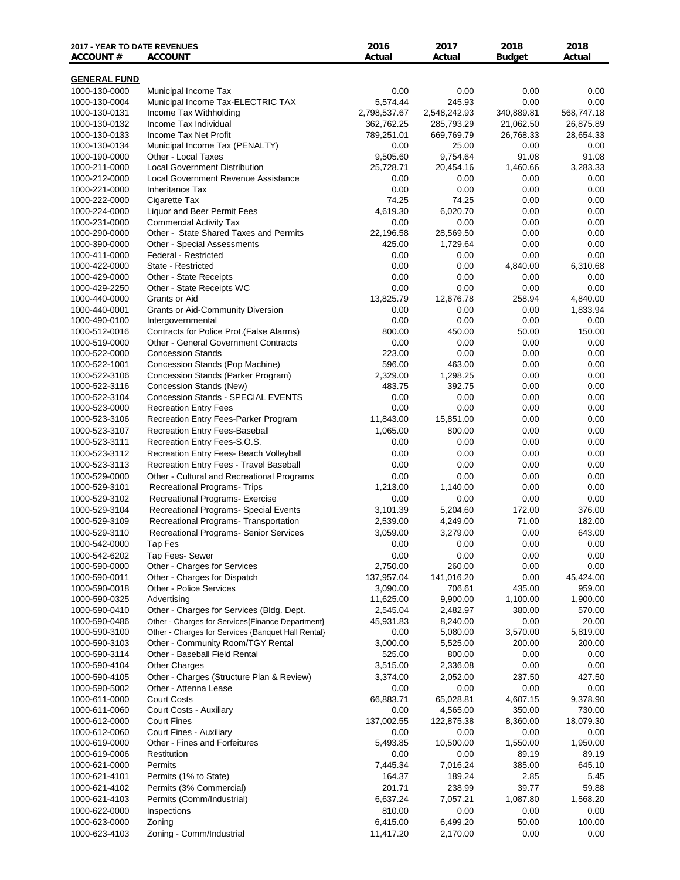| <b>2017 - YEAR TO DATE REVENUES</b><br><b>ACCOUNT #</b> | <b>ACCOUNT</b>                                                                    | 2016<br>Actual         | 2017<br>Actual       | 2018<br><b>Budget</b> | 2018<br>Actual      |
|---------------------------------------------------------|-----------------------------------------------------------------------------------|------------------------|----------------------|-----------------------|---------------------|
|                                                         |                                                                                   |                        |                      |                       |                     |
| <b>GENERAL FUND</b><br>1000-130-0000                    | Municipal Income Tax                                                              | 0.00                   | 0.00                 | 0.00                  | 0.00                |
| 1000-130-0004                                           | Municipal Income Tax-ELECTRIC TAX                                                 | 5,574.44               | 245.93               | 0.00                  | 0.00                |
| 1000-130-0131                                           | Income Tax Withholding                                                            | 2,798,537.67           | 2,548,242.93         | 340,889.81            | 568,747.18          |
| 1000-130-0132                                           | Income Tax Individual                                                             | 362,762.25             | 285,793.29           | 21,062.50             | 26,875.89           |
| 1000-130-0133                                           | Income Tax Net Profit                                                             | 789,251.01             | 669,769.79           | 26,768.33             | 28,654.33           |
| 1000-130-0134                                           | Municipal Income Tax (PENALTY)                                                    | 0.00                   | 25.00                | 0.00                  | 0.00                |
| 1000-190-0000                                           | Other - Local Taxes                                                               | 9,505.60               | 9,754.64             | 91.08                 | 91.08               |
| 1000-211-0000<br>1000-212-0000                          | <b>Local Government Distribution</b><br>Local Government Revenue Assistance       | 25,728.71<br>0.00      | 20,454.16<br>0.00    | 1,460.66<br>0.00      | 3,283.33<br>0.00    |
| 1000-221-0000                                           | <b>Inheritance Tax</b>                                                            | 0.00                   | 0.00                 | 0.00                  | 0.00                |
| 1000-222-0000                                           | Cigarette Tax                                                                     | 74.25                  | 74.25                | 0.00                  | 0.00                |
| 1000-224-0000                                           | Liquor and Beer Permit Fees                                                       | 4,619.30               | 6,020.70             | 0.00                  | 0.00                |
| 1000-231-0000                                           | <b>Commercial Activity Tax</b>                                                    | 0.00                   | 0.00                 | 0.00                  | 0.00                |
| 1000-290-0000                                           | Other - State Shared Taxes and Permits                                            | 22,196.58              | 28,569.50            | 0.00                  | 0.00                |
| 1000-390-0000                                           | Other - Special Assessments                                                       | 425.00                 | 1,729.64             | 0.00                  | 0.00                |
| 1000-411-0000                                           | Federal - Restricted                                                              | 0.00                   | 0.00                 | 0.00                  | 0.00                |
| 1000-422-0000<br>1000-429-0000                          | State - Restricted<br>Other - State Receipts                                      | 0.00<br>0.00           | 0.00<br>0.00         | 4,840.00<br>0.00      | 6,310.68<br>0.00    |
| 1000-429-2250                                           | Other - State Receipts WC                                                         | 0.00                   | 0.00                 | 0.00                  | 0.00                |
| 1000-440-0000                                           | Grants or Aid                                                                     | 13,825.79              | 12,676.78            | 258.94                | 4,840.00            |
| 1000-440-0001                                           | <b>Grants or Aid-Community Diversion</b>                                          | 0.00                   | 0.00                 | 0.00                  | 1,833.94            |
| 1000-490-0100                                           | Intergovernmental                                                                 | 0.00                   | 0.00                 | 0.00                  | 0.00                |
| 1000-512-0016                                           | Contracts for Police Prot. (False Alarms)                                         | 800.00                 | 450.00               | 50.00                 | 150.00              |
| 1000-519-0000                                           | <b>Other - General Government Contracts</b>                                       | 0.00                   | 0.00                 | 0.00                  | 0.00                |
| 1000-522-0000                                           | <b>Concession Stands</b>                                                          | 223.00                 | 0.00                 | 0.00                  | 0.00                |
| 1000-522-1001<br>1000-522-3106                          | Concession Stands (Pop Machine)<br>Concession Stands (Parker Program)             | 596.00<br>2,329.00     | 463.00<br>1,298.25   | 0.00<br>0.00          | 0.00<br>0.00        |
| 1000-522-3116                                           | Concession Stands (New)                                                           | 483.75                 | 392.75               | 0.00                  | 0.00                |
| 1000-522-3104                                           | Concession Stands - SPECIAL EVENTS                                                | 0.00                   | 0.00                 | 0.00                  | 0.00                |
| 1000-523-0000                                           | <b>Recreation Entry Fees</b>                                                      | 0.00                   | 0.00                 | 0.00                  | 0.00                |
| 1000-523-3106                                           | Recreation Entry Fees-Parker Program                                              | 11,843.00              | 15,851.00            | 0.00                  | 0.00                |
| 1000-523-3107                                           | Recreation Entry Fees-Baseball                                                    | 1,065.00               | 800.00               | 0.00                  | 0.00                |
| 1000-523-3111                                           | Recreation Entry Fees-S.O.S.                                                      | 0.00                   | 0.00                 | 0.00                  | 0.00                |
| 1000-523-3112                                           | Recreation Entry Fees- Beach Volleyball                                           | 0.00                   | 0.00                 | 0.00                  | 0.00                |
| 1000-523-3113                                           | Recreation Entry Fees - Travel Baseball                                           | 0.00                   | 0.00                 | 0.00                  | 0.00                |
| 1000-529-0000<br>1000-529-3101                          | Other - Cultural and Recreational Programs<br><b>Recreational Programs- Trips</b> | 0.00<br>1,213.00       | 0.00<br>1,140.00     | 0.00<br>0.00          | 0.00<br>0.00        |
| 1000-529-3102                                           | Recreational Programs- Exercise                                                   | 0.00                   | 0.00                 | 0.00                  | 0.00                |
| 1000-529-3104                                           | Recreational Programs- Special Events                                             | 3,101.39               | 5,204.60             | 172.00                | 376.00              |
| 1000-529-3109                                           | Recreational Programs- Transportation                                             | 2,539.00               | 4,249.00             | 71.00                 | 182.00              |
| 1000-529-3110                                           | Recreational Programs- Senior Services                                            | 3,059.00               | 3,279.00             | 0.00                  | 643.00              |
| 1000-542-0000                                           | Tap Fes                                                                           | 0.00                   | 0.00                 | 0.00                  | 0.00                |
| 1000-542-6202                                           | Tap Fees- Sewer                                                                   | 0.00                   | 0.00                 | 0.00                  | 0.00                |
| 1000-590-0000                                           | Other - Charges for Services                                                      | 2,750.00               | 260.00               | 0.00                  | 0.00                |
| 1000-590-0011<br>1000-590-0018                          | Other - Charges for Dispatch<br><b>Other - Police Services</b>                    | 137,957.04<br>3,090.00 | 141,016.20<br>706.61 | 0.00<br>435.00        | 45,424.00<br>959.00 |
| 1000-590-0325                                           | Advertising                                                                       | 11,625.00              | 9,900.00             | 1,100.00              | 1,900.00            |
| 1000-590-0410                                           | Other - Charges for Services (Bldg. Dept.                                         | 2,545.04               | 2,482.97             | 380.00                | 570.00              |
| 1000-590-0486                                           | Other - Charges for Services {Finance Department}                                 | 45,931.83              | 8,240.00             | 0.00                  | 20.00               |
| 1000-590-3100                                           | Other - Charges for Services {Banquet Hall Rental}                                | 0.00                   | 5,080.00             | 3,570.00              | 5,819.00            |
| 1000-590-3103                                           | Other - Community Room/TGY Rental                                                 | 3,000.00               | 5,525.00             | 200.00                | 200.00              |
| 1000-590-3114                                           | Other - Baseball Field Rental                                                     | 525.00                 | 800.00               | 0.00                  | 0.00                |
| 1000-590-4104                                           | <b>Other Charges</b>                                                              | 3,515.00               | 2,336.08             | 0.00                  | 0.00                |
| 1000-590-4105<br>1000-590-5002                          | Other - Charges (Structure Plan & Review)<br>Other - Attenna Lease                | 3,374.00<br>0.00       | 2,052.00<br>0.00     | 237.50<br>0.00        | 427.50<br>0.00      |
| 1000-611-0000                                           | <b>Court Costs</b>                                                                | 66,883.71              | 65,028.81            | 4,607.15              | 9,378.90            |
| 1000-611-0060                                           | Court Costs - Auxiliary                                                           | 0.00                   | 4,565.00             | 350.00                | 730.00              |
| 1000-612-0000                                           | <b>Court Fines</b>                                                                | 137,002.55             | 122,875.38           | 8,360.00              | 18,079.30           |
| 1000-612-0060                                           | Court Fines - Auxiliary                                                           | 0.00                   | 0.00                 | 0.00                  | 0.00                |
| 1000-619-0000                                           | Other - Fines and Forfeitures                                                     | 5,493.85               | 10,500.00            | 1,550.00              | 1,950.00            |
| 1000-619-0006                                           | Restitution                                                                       | 0.00                   | 0.00                 | 89.19                 | 89.19               |
| 1000-621-0000                                           | Permits                                                                           | 7,445.34               | 7,016.24             | 385.00                | 645.10              |
| 1000-621-4101<br>1000-621-4102                          | Permits (1% to State)<br>Permits (3% Commercial)                                  | 164.37<br>201.71       | 189.24<br>238.99     | 2.85<br>39.77         | 5.45<br>59.88       |
| 1000-621-4103                                           | Permits (Comm/Industrial)                                                         | 6,637.24               | 7,057.21             | 1,087.80              | 1,568.20            |
| 1000-622-0000                                           | Inspections                                                                       | 810.00                 | 0.00                 | 0.00                  | 0.00                |
| 1000-623-0000                                           | Zoning                                                                            | 6,415.00               | 6,499.20             | 50.00                 | 100.00              |
| 1000-623-4103                                           | Zoning - Comm/Industrial                                                          | 11,417.20              | 2,170.00             | 0.00                  | 0.00                |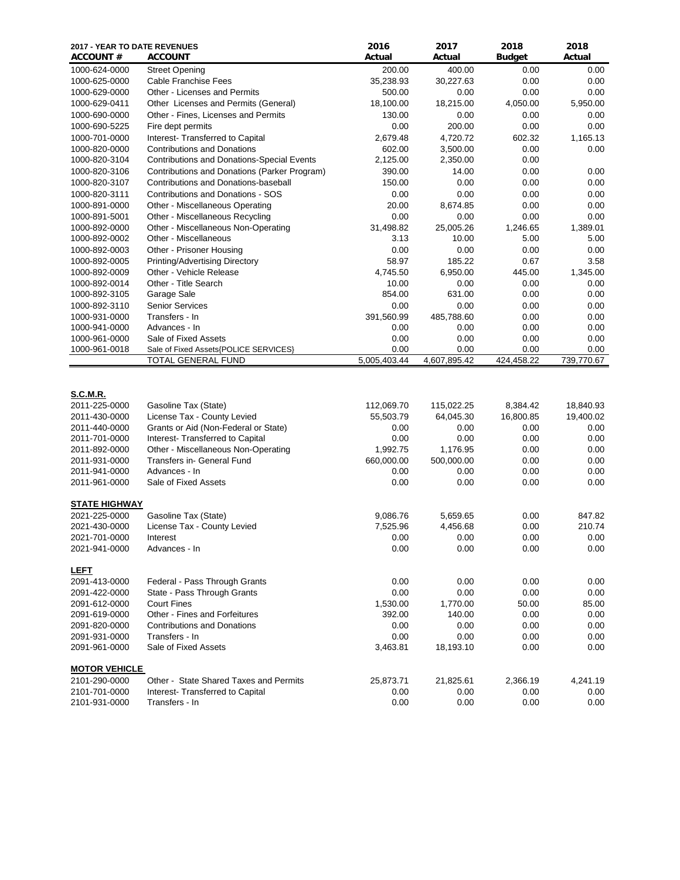| 2017 - YEAR TO DATE REVENUES<br><b>ACCOUNT #</b> | <b>ACCOUNT</b>                                              | 2016<br>Actual       | 2017<br>Actual       | 2018<br><b>Budget</b> | 2018<br>Actual     |
|--------------------------------------------------|-------------------------------------------------------------|----------------------|----------------------|-----------------------|--------------------|
| 1000-624-0000                                    | <b>Street Opening</b>                                       | 200.00               | 400.00               | 0.00                  | 0.00               |
| 1000-625-0000                                    | <b>Cable Franchise Fees</b>                                 | 35,238.93            | 30,227.63            | 0.00                  | 0.00               |
| 1000-629-0000                                    | <b>Other - Licenses and Permits</b>                         | 500.00               | 0.00                 | 0.00                  | 0.00               |
| 1000-629-0411                                    | Other Licenses and Permits (General)                        | 18,100.00            | 18,215.00            | 4,050.00              | 5,950.00           |
| 1000-690-0000                                    | Other - Fines, Licenses and Permits                         | 130.00               | 0.00                 | 0.00                  | 0.00               |
| 1000-690-5225                                    | Fire dept permits                                           | 0.00                 | 200.00               | 0.00                  | 0.00               |
| 1000-701-0000                                    | Interest- Transferred to Capital                            | 2,679.48             | 4,720.72             | 602.32                | 1,165.13           |
| 1000-820-0000                                    | <b>Contributions and Donations</b>                          | 602.00               | 3,500.00             | 0.00                  | 0.00               |
| 1000-820-3104                                    | <b>Contributions and Donations-Special Events</b>           | 2,125.00             | 2,350.00             | 0.00                  |                    |
| 1000-820-3106                                    | Contributions and Donations (Parker Program)                | 390.00               | 14.00                | 0.00                  | 0.00               |
| 1000-820-3107                                    | Contributions and Donations-baseball                        | 150.00               | 0.00                 | 0.00                  | 0.00               |
| 1000-820-3111                                    | Contributions and Donations - SOS                           | 0.00                 | 0.00                 | 0.00                  | 0.00               |
| 1000-891-0000                                    | Other - Miscellaneous Operating                             | 20.00                | 8,674.85             | 0.00                  | 0.00               |
| 1000-891-5001                                    | Other - Miscellaneous Recycling                             | 0.00                 | 0.00                 | 0.00                  | 0.00               |
| 1000-892-0000                                    | Other - Miscellaneous Non-Operating                         | 31,498.82            | 25,005.26            | 1,246.65              | 1,389.01           |
| 1000-892-0002                                    | Other - Miscellaneous                                       | 3.13                 | 10.00                | 5.00                  | 5.00               |
| 1000-892-0003                                    | Other - Prisoner Housing                                    | 0.00                 | 0.00                 | 0.00                  | 0.00               |
| 1000-892-0005                                    | <b>Printing/Advertising Directory</b>                       | 58.97                | 185.22               | 0.67                  | 3.58               |
| 1000-892-0009                                    | Other - Vehicle Release                                     | 4,745.50             | 6,950.00             | 445.00                | 1,345.00           |
| 1000-892-0014                                    | Other - Title Search                                        | 10.00                | 0.00                 | 0.00                  | 0.00               |
| 1000-892-3105                                    | Garage Sale                                                 | 854.00               | 631.00               | 0.00                  | 0.00               |
| 1000-892-3110                                    | <b>Senior Services</b>                                      | 0.00                 | 0.00                 | 0.00                  | 0.00               |
| 1000-931-0000                                    | Transfers - In                                              | 391,560.99           | 485,788.60           | 0.00                  | 0.00               |
| 1000-941-0000                                    | Advances - In                                               | 0.00                 | 0.00                 | 0.00                  | 0.00               |
| 1000-961-0000                                    | Sale of Fixed Assets                                        | 0.00                 | 0.00                 | 0.00                  | 0.00               |
| 1000-961-0018                                    | Sale of Fixed Assets{POLICE SERVICES}<br>TOTAL GENERAL FUND | 0.00<br>5,005,403.44 | 0.00<br>4,607,895.42 | 0.00<br>424,458.22    | 0.00<br>739,770.67 |
| <b>S.C.M.R.</b>                                  |                                                             |                      |                      |                       |                    |
| 2011-225-0000                                    | Gasoline Tax (State)                                        | 112,069.70           | 115,022.25           | 8,384.42              | 18,840.93          |
| 2011-430-0000                                    | License Tax - County Levied                                 | 55,503.79            | 64,045.30            | 16,800.85             | 19,400.02          |
| 2011-440-0000                                    | Grants or Aid (Non-Federal or State)                        | 0.00                 | 0.00                 | 0.00                  | 0.00               |
| 2011-701-0000                                    | Interest- Transferred to Capital                            | 0.00                 | 0.00                 | 0.00                  | 0.00               |
| 2011-892-0000                                    | Other - Miscellaneous Non-Operating                         | 1,992.75             | 1,176.95             | 0.00                  | 0.00               |
| 2011-931-0000                                    | Transfers in- General Fund                                  | 660,000.00           | 500,000.00           | 0.00                  | 0.00               |
| 2011-941-0000                                    | Advances - In                                               | 0.00                 | 0.00                 | 0.00                  | 0.00               |
| 2011-961-0000                                    | Sale of Fixed Assets                                        | 0.00                 | 0.00                 | 0.00                  | 0.00               |
| <b>STATE HIGHWAY</b>                             |                                                             |                      |                      |                       |                    |
| 2021-225-0000                                    | Gasoline Tax (State)                                        | 9,086.76             | 5,659.65             | 0.00                  | 847.82             |
| 2021-430-0000                                    | License Tax - County Levied                                 | 7,525.96             | 4,456.68             | 0.00                  | 210.74             |
| 2021-701-0000                                    | Interest                                                    | 0.00                 | 0.00                 | 0.00                  | 0.00               |
| 2021-941-0000                                    | Advances - In                                               | 0.00                 | 0.00                 | 0.00                  | 0.00               |
| <u>LEFT</u>                                      |                                                             |                      |                      |                       |                    |
| 2091-413-0000                                    | Federal - Pass Through Grants                               | 0.00                 | 0.00                 | 0.00                  | 0.00               |
| 2091-422-0000                                    | State - Pass Through Grants                                 | 0.00                 | 0.00                 | 0.00                  | 0.00               |
| 2091-612-0000                                    | <b>Court Fines</b>                                          | 1,530.00             | 1,770.00             | 50.00                 | 85.00              |
| 2091-619-0000                                    | Other - Fines and Forfeitures                               | 392.00               | 140.00               | 0.00                  | 0.00               |
| 2091-820-0000                                    | <b>Contributions and Donations</b>                          | 0.00                 | 0.00                 | 0.00                  | 0.00               |
| 2091-931-0000                                    | Transfers - In                                              | 0.00                 | 0.00                 | 0.00                  | 0.00               |
| 2091-961-0000                                    | Sale of Fixed Assets                                        | 3,463.81             | 18,193.10            | 0.00                  | 0.00               |
| <b>MOTOR VEHICLE</b>                             |                                                             |                      |                      |                       |                    |
| 2101-290-0000                                    | Other - State Shared Taxes and Permits                      | 25,873.71            | 21,825.61            | 2,366.19              | 4,241.19           |
| 2101-701-0000                                    | Interest-Transferred to Capital                             | 0.00                 | 0.00                 | 0.00                  | 0.00               |
| 2101-931-0000                                    | Transfers - In                                              | 0.00                 | 0.00                 | 0.00                  | 0.00               |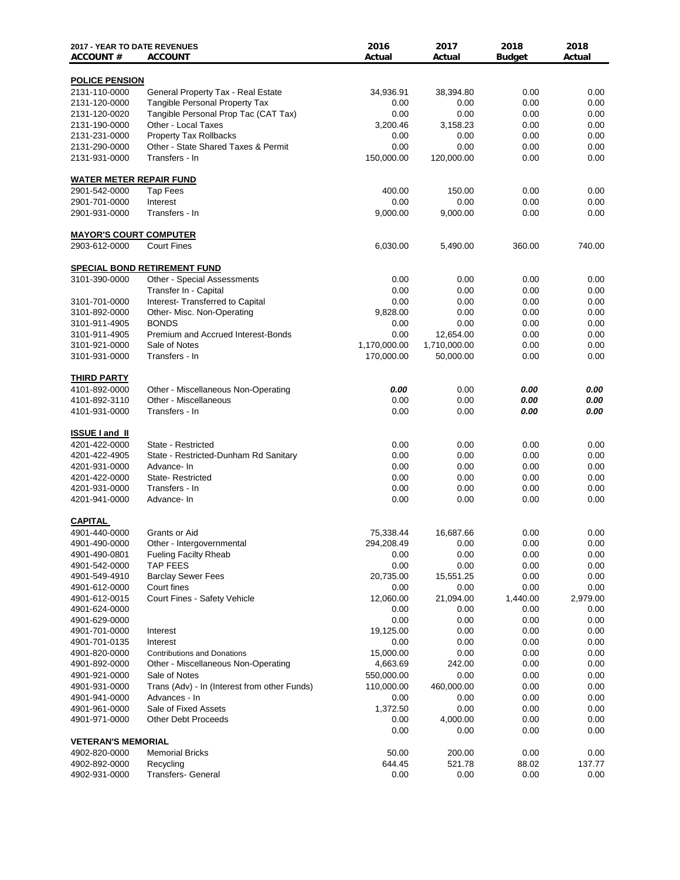| 2017 - YEAR TO DATE REVENUES   |                                              | 2016         | 2017         | 2018          | 2018     |
|--------------------------------|----------------------------------------------|--------------|--------------|---------------|----------|
| <b>ACCOUNT#</b>                | <b>ACCOUNT</b>                               | Actual       | Actual       | <b>Budget</b> | Actual   |
| <b>POLICE PENSION</b>          |                                              |              |              |               |          |
| 2131-110-0000                  | General Property Tax - Real Estate           | 34,936.91    | 38,394.80    | 0.00          | 0.00     |
| 2131-120-0000                  | <b>Tangible Personal Property Tax</b>        | 0.00         | 0.00         | 0.00          | 0.00     |
| 2131-120-0020                  | Tangible Personal Prop Tac (CAT Tax)         | 0.00         | 0.00         | 0.00          | 0.00     |
| 2131-190-0000                  | Other - Local Taxes                          | 3,200.46     | 3,158.23     | 0.00          | 0.00     |
| 2131-231-0000                  | <b>Property Tax Rollbacks</b>                | 0.00         | 0.00         | 0.00          | 0.00     |
| 2131-290-0000                  | Other - State Shared Taxes & Permit          | 0.00         | 0.00         | 0.00          | 0.00     |
| 2131-931-0000                  | Transfers - In                               | 150,000.00   | 120,000.00   | 0.00          | 0.00     |
| <b>WATER METER REPAIR FUND</b> |                                              |              |              |               |          |
| 2901-542-0000                  | <b>Tap Fees</b>                              | 400.00       | 150.00       | 0.00          | 0.00     |
| 2901-701-0000                  | Interest                                     | 0.00         | 0.00         | 0.00          | 0.00     |
| 2901-931-0000                  | Transfers - In                               | 9,000.00     | 9,000.00     | 0.00          | 0.00     |
| <b>MAYOR'S COURT COMPUTER</b>  |                                              |              |              |               |          |
| 2903-612-0000                  | <b>Court Fines</b>                           | 6,030.00     | 5,490.00     | 360.00        | 740.00   |
|                                |                                              |              |              |               |          |
|                                | SPECIAL BOND RETIREMENT FUND                 |              |              |               |          |
| 3101-390-0000                  | Other - Special Assessments                  | 0.00         | 0.00         | 0.00          | 0.00     |
|                                | Transfer In - Capital                        | 0.00         | 0.00         | 0.00          | 0.00     |
| 3101-701-0000                  | Interest- Transferred to Capital             | 0.00         | 0.00         | 0.00          | 0.00     |
| 3101-892-0000                  | Other- Misc. Non-Operating                   | 9,828.00     | 0.00         | 0.00          | 0.00     |
| 3101-911-4905                  | <b>BONDS</b>                                 | 0.00         | 0.00         | 0.00          | 0.00     |
| 3101-911-4905                  | Premium and Accrued Interest-Bonds           | 0.00         | 12,654.00    | 0.00          | 0.00     |
| 3101-921-0000                  | Sale of Notes                                | 1,170,000.00 | 1,710,000.00 | 0.00          | 0.00     |
| 3101-931-0000                  | Transfers - In                               | 170,000.00   | 50,000.00    | 0.00          | 0.00     |
| <b>THIRD PARTY</b>             |                                              |              |              |               |          |
| 4101-892-0000                  | Other - Miscellaneous Non-Operating          | 0.00         | 0.00         | 0.00          | 0.00     |
| 4101-892-3110                  | Other - Miscellaneous                        | 0.00         | 0.00         | 0.00          | 0.00     |
| 4101-931-0000                  | Transfers - In                               | 0.00         | 0.00         | 0.00          | 0.00     |
| <b>ISSUE I and II</b>          |                                              |              |              |               |          |
| 4201-422-0000                  | State - Restricted                           | 0.00         | 0.00         | 0.00          | 0.00     |
| 4201-422-4905                  | State - Restricted-Dunham Rd Sanitary        | 0.00         | 0.00         | 0.00          | 0.00     |
| 4201-931-0000                  | Advance- In                                  | 0.00         | 0.00         | 0.00          | 0.00     |
| 4201-422-0000                  | State-Restricted                             | 0.00         | 0.00         | 0.00          | 0.00     |
| 4201-931-0000                  | Transfers - In                               | 0.00         | 0.00         | 0.00          | 0.00     |
| 4201-941-0000                  | Advance- In                                  | 0.00         | 0.00         | 0.00          | 0.00     |
| CAPITAL                        |                                              |              |              |               |          |
| 4901-440-0000                  | Grants or Aid                                | 75,338.44    | 16,687.66    | 0.00          | 0.00     |
| 4901-490-0000                  | Other - Intergovernmental                    | 294,208.49   | 0.00         | 0.00          | 0.00     |
| 4901-490-0801                  | <b>Fueling Facilty Rheab</b>                 | 0.00         | 0.00         | 0.00          | 0.00     |
| 4901-542-0000                  | TAP FEES                                     | 0.00         | 0.00         | 0.00          | 0.00     |
| 4901-549-4910                  | <b>Barclay Sewer Fees</b>                    | 20,735.00    | 15,551.25    | 0.00          | 0.00     |
| 4901-612-0000                  | Court fines                                  | 0.00         | 0.00         | 0.00          | 0.00     |
| 4901-612-0015                  | Court Fines - Safety Vehicle                 | 12,060.00    | 21,094.00    | 1,440.00      | 2,979.00 |
| 4901-624-0000                  |                                              | 0.00         | 0.00         | 0.00          | 0.00     |
| 4901-629-0000                  |                                              | 0.00         | 0.00         | 0.00          | 0.00     |
| 4901-701-0000                  | Interest                                     | 19,125.00    | 0.00         | 0.00          | 0.00     |
| 4901-701-0135                  | Interest                                     | 0.00         | 0.00         | 0.00          | 0.00     |
| 4901-820-0000                  | <b>Contributions and Donations</b>           | 15,000.00    | 0.00         | 0.00          | 0.00     |
| 4901-892-0000                  | Other - Miscellaneous Non-Operating          | 4,663.69     | 242.00       | 0.00          | 0.00     |
| 4901-921-0000                  | Sale of Notes                                | 550,000.00   | 0.00         | 0.00          | 0.00     |
| 4901-931-0000                  | Trans (Adv) - In (Interest from other Funds) | 110,000.00   | 460,000.00   | 0.00          | 0.00     |
| 4901-941-0000                  | Advances - In                                | 0.00         | 0.00         | 0.00          | 0.00     |
| 4901-961-0000                  | Sale of Fixed Assets                         | 1,372.50     | 0.00         | 0.00          | 0.00     |
| 4901-971-0000                  | <b>Other Debt Proceeds</b>                   | 0.00         | 4,000.00     | 0.00          | 0.00     |
|                                |                                              | 0.00         | 0.00         | 0.00          | 0.00     |
| <b>VETERAN'S MEMORIAL</b>      |                                              |              |              |               |          |
| 4902-820-0000                  | <b>Memorial Bricks</b>                       | 50.00        | 200.00       | 0.00          | 0.00     |
| 4902-892-0000                  | Recycling                                    | 644.45       | 521.78       | 88.02<br>0.00 | 137.77   |
| 4902-931-0000                  | Transfers- General                           | 0.00         | 0.00         |               | 0.00     |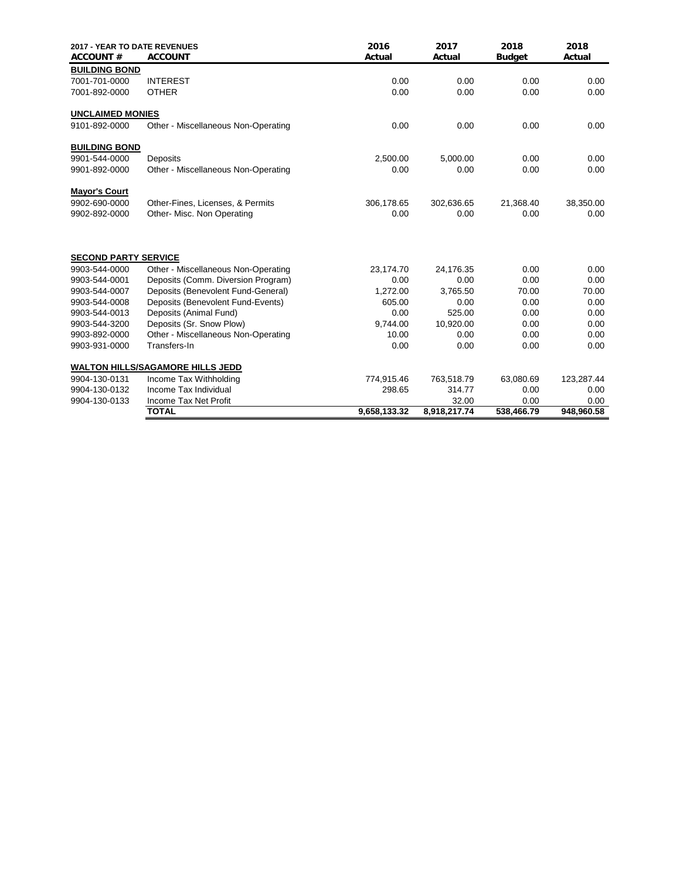| 2017 - YEAR TO DATE REVENUES<br><b>ACCOUNT#</b> | <b>ACCOUNT</b>                          | 2016<br>Actual | 2017<br>Actual | 2018<br><b>Budget</b> | 2018<br>Actual |
|-------------------------------------------------|-----------------------------------------|----------------|----------------|-----------------------|----------------|
| <b>BUILDING BOND</b>                            |                                         |                |                |                       |                |
| 7001-701-0000                                   | <b>INTEREST</b>                         | 0.00           | 0.00           | 0.00                  | 0.00           |
| 7001-892-0000                                   | <b>OTHER</b>                            | 0.00           | 0.00           | 0.00                  | 0.00           |
| <b>UNCLAIMED MONIES</b>                         |                                         |                |                |                       |                |
| 9101-892-0000                                   | Other - Miscellaneous Non-Operating     | 0.00           | 0.00           | 0.00                  | 0.00           |
| <b>BUILDING BOND</b>                            |                                         |                |                |                       |                |
| 9901-544-0000                                   | Deposits                                | 2,500.00       | 5,000.00       | 0.00                  | 0.00           |
| 9901-892-0000                                   | Other - Miscellaneous Non-Operating     | 0.00           | 0.00           | 0.00                  | 0.00           |
| <b>Mayor's Court</b>                            |                                         |                |                |                       |                |
| 9902-690-0000                                   | Other-Fines, Licenses, & Permits        | 306,178.65     | 302,636.65     | 21,368.40             | 38,350.00      |
| 9902-892-0000                                   | Other- Misc. Non Operating              | 0.00           | 0.00           | 0.00                  | 0.00           |
| <b>SECOND PARTY SERVICE</b>                     |                                         |                |                |                       |                |
| 9903-544-0000                                   | Other - Miscellaneous Non-Operating     | 23,174.70      | 24,176.35      | 0.00                  | 0.00           |
| 9903-544-0001                                   | Deposits (Comm. Diversion Program)      | 0.00           | 0.00           | 0.00                  | 0.00           |
| 9903-544-0007                                   | Deposits (Benevolent Fund-General)      | 1,272.00       | 3,765.50       | 70.00                 | 70.00          |
| 9903-544-0008                                   | Deposits (Benevolent Fund-Events)       | 605.00         | 0.00           | 0.00                  | 0.00           |
| 9903-544-0013                                   | Deposits (Animal Fund)                  | 0.00           | 525.00         | 0.00                  | 0.00           |
| 9903-544-3200                                   | Deposits (Sr. Snow Plow)                | 9,744.00       | 10,920.00      | 0.00                  | 0.00           |
| 9903-892-0000                                   | Other - Miscellaneous Non-Operating     | 10.00          | 0.00           | 0.00                  | 0.00           |
| 9903-931-0000                                   | Transfers-In                            | 0.00           | 0.00           | 0.00                  | 0.00           |
|                                                 | <b>WALTON HILLS/SAGAMORE HILLS JEDD</b> |                |                |                       |                |
| 9904-130-0131                                   | Income Tax Withholding                  | 774,915.46     | 763,518.79     | 63,080.69             | 123,287.44     |
| 9904-130-0132                                   | Income Tax Individual                   | 298.65         | 314.77         | 0.00                  | 0.00           |
| 9904-130-0133                                   | Income Tax Net Profit                   |                | 32.00          | 0.00                  | 0.00           |
|                                                 | <b>TOTAL</b>                            | 9,658,133.32   | 8,918,217.74   | 538,466.79            | 948.960.58     |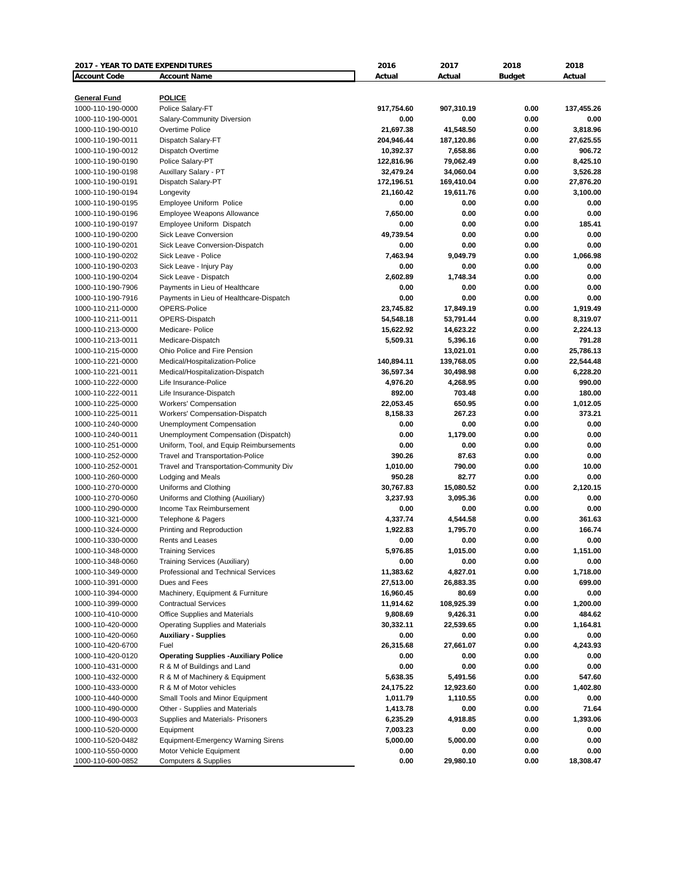| <b>2017 - YEAR TO DATE EXPENDITURES</b> |                                              | 2016       | 2017       | 2018          | 2018       |
|-----------------------------------------|----------------------------------------------|------------|------------|---------------|------------|
| <b>Account Code</b>                     | <b>Account Name</b>                          | Actual     | Actual     | <b>Budget</b> | Actual     |
|                                         |                                              |            |            |               |            |
| <b>General Fund</b>                     | <b>POLICE</b>                                |            |            |               |            |
| 1000-110-190-0000                       | Police Salary-FT                             | 917,754.60 | 907,310.19 | 0.00          | 137,455.26 |
| 1000-110-190-0001                       | Salary-Community Diversion                   | 0.00       | 0.00       | 0.00          | 0.00       |
| 1000-110-190-0010                       | Overtime Police                              | 21,697.38  | 41,548.50  | 0.00          | 3,818.96   |
| 1000-110-190-0011                       | Dispatch Salary-FT                           | 204,946.44 | 187,120.86 | 0.00          | 27,625.55  |
| 1000-110-190-0012                       | Dispatch Overtime                            | 10,392.37  | 7,658.86   | 0.00          | 906.72     |
| 1000-110-190-0190                       | Police Salary-PT                             | 122,816.96 | 79,062.49  | 0.00          | 8,425.10   |
| 1000-110-190-0198                       | Auxillary Salary - PT                        | 32,479.24  | 34,060.04  | 0.00          | 3,526.28   |
| 1000-110-190-0191                       | Dispatch Salary-PT                           | 172,196.51 | 169,410.04 | 0.00          | 27,876.20  |
| 1000-110-190-0194                       | Longevity                                    | 21,160.42  | 19,611.76  | 0.00          | 3,100.00   |
| 1000-110-190-0195                       | <b>Employee Uniform Police</b>               | 0.00       | 0.00       | 0.00          | 0.00       |
| 1000-110-190-0196                       | Employee Weapons Allowance                   | 7,650.00   | 0.00       | 0.00          | 0.00       |
| 1000-110-190-0197                       | Employee Uniform Dispatch                    | 0.00       | 0.00       | 0.00          | 185.41     |
| 1000-110-190-0200                       | <b>Sick Leave Conversion</b>                 | 49,739.54  | 0.00       | 0.00          | 0.00       |
| 1000-110-190-0201                       | Sick Leave Conversion-Dispatch               | 0.00       | 0.00       | 0.00          | 0.00       |
| 1000-110-190-0202                       | Sick Leave - Police                          | 7,463.94   | 9,049.79   | 0.00          | 1,066.98   |
| 1000-110-190-0203                       | Sick Leave - Injury Pay                      | 0.00       | 0.00       | 0.00          | 0.00       |
| 1000-110-190-0204                       | Sick Leave - Dispatch                        | 2,602.89   | 1,748.34   | 0.00          | 0.00       |
| 1000-110-190-7906                       | Payments in Lieu of Healthcare               | 0.00       | 0.00       | 0.00          | 0.00       |
| 1000-110-190-7916                       | Payments in Lieu of Healthcare-Dispatch      | 0.00       | 0.00       | 0.00          | 0.00       |
| 1000-110-211-0000                       | OPERS-Police                                 | 23,745.82  | 17,849.19  | 0.00          | 1,919.49   |
| 1000-110-211-0011                       | OPERS-Dispatch                               | 54,548.18  | 53,791.44  | 0.00          | 8,319.07   |
| 1000-110-213-0000                       | Medicare- Police                             | 15,622.92  | 14,623.22  | 0.00          | 2,224.13   |
| 1000-110-213-0011                       | Medicare-Dispatch                            | 5,509.31   | 5,396.16   | 0.00          | 791.28     |
| 1000-110-215-0000                       | Ohio Police and Fire Pension                 |            | 13,021.01  | 0.00          | 25,786.13  |
| 1000-110-221-0000                       | Medical/Hospitalization-Police               | 140,894.11 | 139,768.05 | 0.00          | 22,544.48  |
| 1000-110-221-0011                       | Medical/Hospitalization-Dispatch             | 36,597.34  | 30,498.98  | 0.00          | 6,228.20   |
| 1000-110-222-0000                       | Life Insurance-Police                        | 4,976.20   | 4,268.95   | 0.00          | 990.00     |
| 1000-110-222-0011                       | Life Insurance-Dispatch                      | 892.00     | 703.48     | 0.00          | 180.00     |
| 1000-110-225-0000                       | <b>Workers' Compensation</b>                 | 22,053.45  | 650.95     | 0.00          | 1,012.05   |
| 1000-110-225-0011                       | Workers' Compensation-Dispatch               | 8,158.33   | 267.23     | 0.00          | 373.21     |
| 1000-110-240-0000                       | Unemployment Compensation                    | 0.00       | 0.00       | 0.00          | 0.00       |
| 1000-110-240-0011                       | Unemployment Compensation (Dispatch)         | 0.00       | 1,179.00   | 0.00          | 0.00       |
| 1000-110-251-0000                       | Uniform, Tool, and Equip Reimbursements      | 0.00       | 0.00       | 0.00          | 0.00       |
| 1000-110-252-0000                       | <b>Travel and Transportation-Police</b>      | 390.26     | 87.63      | 0.00          | 0.00       |
| 1000-110-252-0001                       | Travel and Transportation-Community Div      | 1,010.00   | 790.00     | 0.00          | 10.00      |
| 1000-110-260-0000                       | Lodging and Meals                            | 950.28     | 82.77      | 0.00          | 0.00       |
| 1000-110-270-0000                       | Uniforms and Clothing                        | 30,767.83  | 15,080.52  | 0.00          | 2,120.15   |
| 1000-110-270-0060                       | Uniforms and Clothing (Auxiliary)            | 3,237.93   | 3,095.36   | 0.00          | 0.00       |
| 1000-110-290-0000                       | Income Tax Reimbursement                     | 0.00       | 0.00       | 0.00          | 0.00       |
| 1000-110-321-0000                       | Telephone & Pagers                           | 4,337.74   | 4,544.58   | 0.00          | 361.63     |
| 1000-110-324-0000                       | Printing and Reproduction                    | 1,922.83   | 1,795.70   | 0.00          | 166.74     |
| 1000-110-330-0000                       | Rents and Leases                             | 0.00       | 0.00       | 0.00          | 0.00       |
| 1000-110-348-0000                       | <b>Training Services</b>                     | 5,976.85   | 1,015.00   | 0.00          | 1,151.00   |
| 1000-110-348-0060                       | Training Services (Auxiliary)                | 0.00       | 0.00       | 0.00          | 0.00       |
| 1000-110-349-0000                       | Professional and Technical Services          | 11,383.62  | 4,827.01   | 0.00          | 1,718.00   |
| 1000-110-391-0000                       | Dues and Fees                                | 27,513.00  | 26,883.35  | 0.00          | 699.00     |
| 1000-110-394-0000                       | Machinery, Equipment & Furniture             | 16,960.45  | 80.69      | 0.00          | 0.00       |
| 1000-110-399-0000                       | <b>Contractual Services</b>                  | 11,914.62  | 108,925.39 | 0.00          | 1,200.00   |
| 1000-110-410-0000                       | Office Supplies and Materials                | 9,808.69   | 9,426.31   | 0.00          | 484.62     |
| 1000-110-420-0000                       | <b>Operating Supplies and Materials</b>      | 30,332.11  | 22,539.65  | 0.00          | 1,164.81   |
|                                         | <b>Auxiliary - Supplies</b>                  | 0.00       | 0.00       | 0.00          | 0.00       |
| 1000-110-420-0060                       |                                              |            | 27,661.07  |               | 4,243.93   |
| 1000-110-420-6700                       | Fuel                                         | 26,315.68  |            | 0.00          |            |
| 1000-110-420-0120                       | <b>Operating Supplies - Auxiliary Police</b> | 0.00       | 0.00       | 0.00          | 0.00       |
| 1000-110-431-0000                       | R & M of Buildings and Land                  | 0.00       | 0.00       | 0.00          | 0.00       |
| 1000-110-432-0000                       | R & M of Machinery & Equipment               | 5,638.35   | 5,491.56   | 0.00          | 547.60     |
| 1000-110-433-0000                       | R & M of Motor vehicles                      | 24,175.22  | 12,923.60  | 0.00          | 1,402.80   |
| 1000-110-440-0000                       | Small Tools and Minor Equipment              | 1,011.79   | 1,110.55   | 0.00          | 0.00       |
| 1000-110-490-0000                       | Other - Supplies and Materials               | 1,413.78   | 0.00       | 0.00          | 71.64      |
| 1000-110-490-0003                       | Supplies and Materials- Prisoners            | 6,235.29   | 4,918.85   | 0.00          | 1,393.06   |
| 1000-110-520-0000                       | Equipment                                    | 7,003.23   | 0.00       | 0.00          | 0.00       |
| 1000-110-520-0482                       | <b>Equipment-Emergency Warning Sirens</b>    | 5,000.00   | 5,000.00   | 0.00          | 0.00       |
| 1000-110-550-0000                       | Motor Vehicle Equipment                      | 0.00       | 0.00       | 0.00          | 0.00       |
| 1000-110-600-0852                       | <b>Computers &amp; Supplies</b>              | 0.00       | 29,980.10  | 0.00          | 18,308.47  |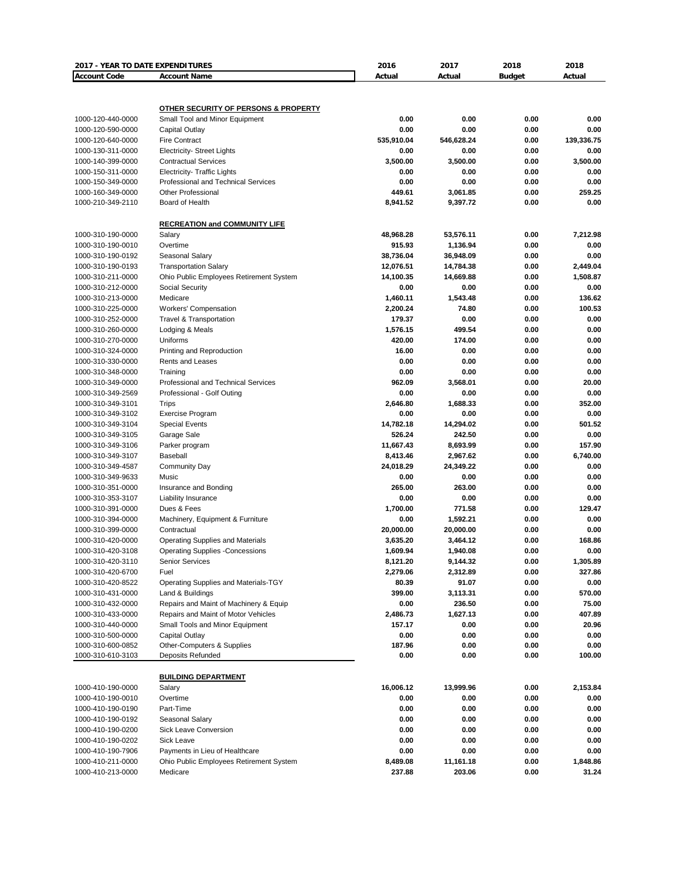| 2017 - YEAR TO DATE EXPENDITURES |                                                 | 2016                | 2017                  | 2018          | 2018             |
|----------------------------------|-------------------------------------------------|---------------------|-----------------------|---------------|------------------|
| <b>Account Code</b>              | <b>Account Name</b>                             | Actual              | Actual                | <b>Budget</b> | Actual           |
|                                  |                                                 |                     |                       |               |                  |
|                                  |                                                 |                     |                       |               |                  |
|                                  | <b>OTHER SECURITY OF PERSONS &amp; PROPERTY</b> |                     |                       |               |                  |
| 1000-120-440-0000                | Small Tool and Minor Equipment                  | 0.00                | 0.00                  | 0.00          | 0.00             |
| 1000-120-590-0000                | Capital Outlay                                  | 0.00                | 0.00                  | 0.00          | 0.00             |
| 1000-120-640-0000                | <b>Fire Contract</b>                            | 535,910.04          | 546,628.24            | 0.00          | 139,336.75       |
| 1000-130-311-0000                | <b>Electricity- Street Lights</b>               | 0.00                | 0.00                  | 0.00          | 0.00             |
| 1000-140-399-0000                | <b>Contractual Services</b>                     | 3,500.00            | 3,500.00              | 0.00          | 3,500.00         |
| 1000-150-311-0000                | <b>Electricity- Traffic Lights</b>              | 0.00                | 0.00                  | 0.00          | 0.00             |
| 1000-150-349-0000                | Professional and Technical Services             | 0.00                | 0.00                  | 0.00          | 0.00             |
| 1000-160-349-0000                | <b>Other Professional</b>                       | 449.61              | 3,061.85              | 0.00          | 259.25           |
| 1000-210-349-2110                | Board of Health                                 | 8,941.52            | 9,397.72              | 0.00          | 0.00             |
|                                  |                                                 |                     |                       |               |                  |
| 1000-310-190-0000                | <b>RECREATION and COMMUNITY LIFE</b>            |                     |                       | 0.00          |                  |
| 1000-310-190-0010                | Salary<br>Overtime                              | 48,968.28<br>915.93 | 53,576.11<br>1,136.94 | 0.00          | 7,212.98<br>0.00 |
| 1000-310-190-0192                |                                                 | 38,736.04           | 36,948.09             | 0.00          | 0.00             |
| 1000-310-190-0193                | Seasonal Salary<br><b>Transportation Salary</b> | 12,076.51           | 14,784.38             | 0.00          | 2,449.04         |
| 1000-310-211-0000                | Ohio Public Employees Retirement System         | 14,100.35           | 14,669.88             | 0.00          | 1,508.87         |
| 1000-310-212-0000                | Social Security                                 | 0.00                | 0.00                  | 0.00          | 0.00             |
| 1000-310-213-0000                | Medicare                                        | 1,460.11            | 1,543.48              | 0.00          | 136.62           |
| 1000-310-225-0000                | <b>Workers' Compensation</b>                    | 2,200.24            | 74.80                 | 0.00          | 100.53           |
| 1000-310-252-0000                | Travel & Transportation                         | 179.37              | 0.00                  | 0.00          | 0.00             |
| 1000-310-260-0000                | Lodging & Meals                                 | 1,576.15            | 499.54                | 0.00          | 0.00             |
| 1000-310-270-0000                | Uniforms                                        | 420.00              | 174.00                | 0.00          | 0.00             |
| 1000-310-324-0000                | Printing and Reproduction                       | 16.00               | 0.00                  | 0.00          | 0.00             |
| 1000-310-330-0000                | Rents and Leases                                | 0.00                | 0.00                  | 0.00          | 0.00             |
| 1000-310-348-0000                | Training                                        | 0.00                | 0.00                  | 0.00          | 0.00             |
| 1000-310-349-0000                | Professional and Technical Services             | 962.09              | 3,568.01              | 0.00          | 20.00            |
| 1000-310-349-2569                | Professional - Golf Outing                      | 0.00                | 0.00                  | 0.00          | 0.00             |
| 1000-310-349-3101                | Trips                                           | 2,646.80            | 1,688.33              | 0.00          | 352.00           |
| 1000-310-349-3102                | <b>Exercise Program</b>                         | 0.00                | 0.00                  | 0.00          | 0.00             |
| 1000-310-349-3104                | <b>Special Events</b>                           | 14,782.18           | 14,294.02             | 0.00          | 501.52           |
| 1000-310-349-3105                | Garage Sale                                     | 526.24              | 242.50                | 0.00          | 0.00             |
| 1000-310-349-3106                | Parker program                                  | 11,667.43           | 8,693.99              | 0.00          | 157.90           |
| 1000-310-349-3107                | Baseball                                        | 8,413.46            | 2,967.62              | 0.00          | 6,740.00         |
| 1000-310-349-4587                | <b>Community Day</b>                            | 24,018.29           | 24,349.22             | 0.00          | 0.00             |
| 1000-310-349-9633                | Music                                           | 0.00                | 0.00                  | 0.00          | 0.00             |
| 1000-310-351-0000                | Insurance and Bonding                           | 265.00              | 263.00                | 0.00          | 0.00             |
| 1000-310-353-3107                | Liability Insurance                             | 0.00                | 0.00                  | 0.00          | 0.00             |
| 1000-310-391-0000                | Dues & Fees                                     | 1,700.00            | 771.58                | 0.00          | 129.47           |
| 1000-310-394-0000                | Machinery, Equipment & Furniture                | 0.00                | 1,592.21              | 0.00          | 0.00             |
| 1000-310-399-0000                | Contractual                                     | 20,000.00           | 20,000.00             | 0.00          | 0.00             |
| 1000-310-420-0000                | <b>Operating Supplies and Materials</b>         | 3.635.20            | 3,464.12              | 0.00          | 168.86           |
| 1000-310-420-3108                | <b>Operating Supplies -Concessions</b>          | 1,609.94            | 1,940.08              | 0.00          | 0.00             |
| 1000-310-420-3110                | <b>Senior Services</b>                          | 8,121.20            | 9,144.32              | 0.00          | 1,305.89         |
| 1000-310-420-6700                | Fuel                                            | 2,279.06            | 2,312.89              | 0.00          | 327.86           |
| 1000-310-420-8522                | Operating Supplies and Materials-TGY            | 80.39               | 91.07                 | 0.00          | 0.00             |
| 1000-310-431-0000                | Land & Buildings                                | 399.00              | 3,113.31              | 0.00          | 570.00           |
| 1000-310-432-0000                | Repairs and Maint of Machinery & Equip          | 0.00                | 236.50                | 0.00          | 75.00            |
| 1000-310-433-0000                | Repairs and Maint of Motor Vehicles             | 2,486.73            | 1,627.13              | 0.00          | 407.89           |
| 1000-310-440-0000                | Small Tools and Minor Equipment                 | 157.17              | 0.00                  | 0.00          | 20.96            |
| 1000-310-500-0000                | Capital Outlay                                  | 0.00                | 0.00                  | 0.00          | 0.00             |
| 1000-310-600-0852                | Other-Computers & Supplies                      | 187.96              | 0.00                  | 0.00          | 0.00             |
| 1000-310-610-3103                | Deposits Refunded                               | 0.00                | 0.00                  | 0.00          | 100.00           |
|                                  |                                                 |                     |                       |               |                  |
|                                  | <b>BUILDING DEPARTMENT</b>                      |                     |                       |               |                  |
| 1000-410-190-0000                | Salary                                          | 16,006.12           | 13,999.96             | 0.00          | 2,153.84         |
| 1000-410-190-0010                | Overtime                                        | 0.00                | 0.00                  | 0.00          | 0.00             |
| 1000-410-190-0190                | Part-Time                                       | 0.00                | 0.00                  | 0.00          | 0.00             |
| 1000-410-190-0192                | Seasonal Salary                                 | 0.00                | 0.00                  | 0.00          | 0.00             |
| 1000-410-190-0200                | Sick Leave Conversion                           | 0.00                | 0.00                  | 0.00          | 0.00             |
| 1000-410-190-0202                | Sick Leave                                      | 0.00                | 0.00                  | 0.00          | 0.00             |
| 1000-410-190-7906                | Payments in Lieu of Healthcare                  | 0.00                | 0.00                  | 0.00          | 0.00             |
| 1000-410-211-0000                | Ohio Public Employees Retirement System         | 8,489.08            | 11,161.18             | 0.00          | 1,848.86         |
| 1000-410-213-0000                | Medicare                                        | 237.88              | 203.06                | 0.00          | 31.24            |
|                                  |                                                 |                     |                       |               |                  |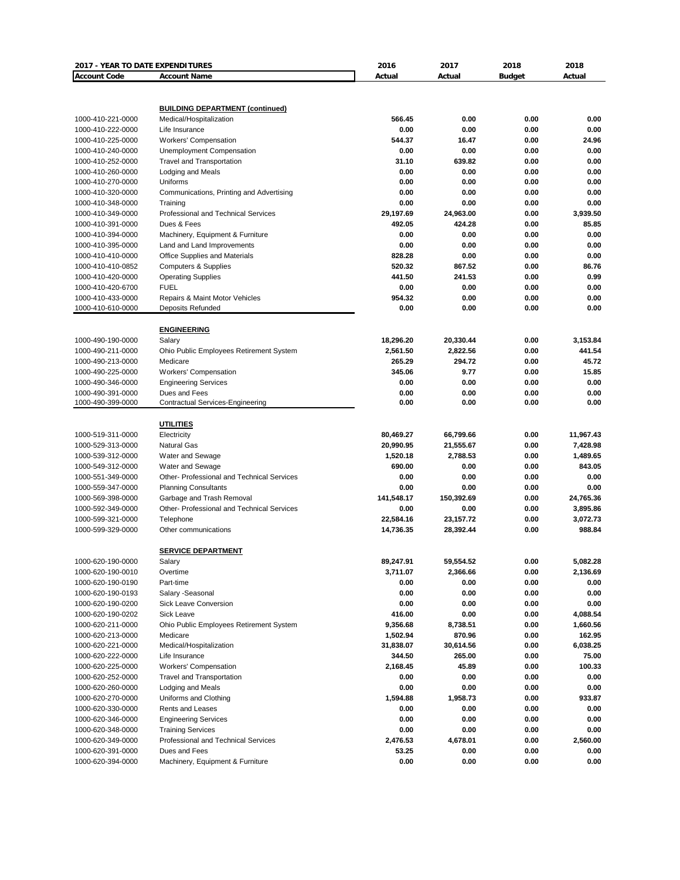| 2017 - YEAR TO DATE EXPENDITURES       |                                                       | 2016                   | 2017                   | 2018          | 2018                  |
|----------------------------------------|-------------------------------------------------------|------------------------|------------------------|---------------|-----------------------|
| <b>Account Code</b>                    | <b>Account Name</b>                                   | Actual                 | Actual                 | <b>Budget</b> | Actual                |
|                                        |                                                       |                        |                        |               |                       |
|                                        |                                                       |                        |                        |               |                       |
|                                        | <b>BUILDING DEPARTMENT (continued)</b>                |                        |                        |               |                       |
| 1000-410-221-0000                      | Medical/Hospitalization                               | 566.45                 | 0.00                   | 0.00          | 0.00                  |
| 1000-410-222-0000                      | Life Insurance                                        | 0.00                   | 0.00                   | 0.00          | 0.00                  |
| 1000-410-225-0000                      | <b>Workers' Compensation</b>                          | 544.37                 | 16.47                  | 0.00          | 24.96                 |
| 1000-410-240-0000                      | Unemployment Compensation                             | 0.00<br>31.10          | 0.00<br>639.82         | 0.00<br>0.00  | 0.00<br>0.00          |
| 1000-410-252-0000<br>1000-410-260-0000 | <b>Travel and Transportation</b><br>Lodging and Meals | 0.00                   | 0.00                   | 0.00          | 0.00                  |
| 1000-410-270-0000                      | Uniforms                                              | 0.00                   | 0.00                   | 0.00          | 0.00                  |
| 1000-410-320-0000                      | Communications, Printing and Advertising              | 0.00                   | 0.00                   | 0.00          | 0.00                  |
| 1000-410-348-0000                      | Training                                              | 0.00                   | 0.00                   | 0.00          | 0.00                  |
| 1000-410-349-0000                      | Professional and Technical Services                   | 29,197.69              | 24,963.00              | 0.00          | 3,939.50              |
| 1000-410-391-0000                      | Dues & Fees                                           | 492.05                 | 424.28                 | 0.00          | 85.85                 |
| 1000-410-394-0000                      | Machinery, Equipment & Furniture                      | 0.00                   | 0.00                   | 0.00          | 0.00                  |
| 1000-410-395-0000                      | Land and Land Improvements                            | 0.00                   | 0.00                   | 0.00          | 0.00                  |
| 1000-410-410-0000                      | Office Supplies and Materials                         | 828.28                 | 0.00                   | 0.00          | 0.00                  |
| 1000-410-410-0852                      | <b>Computers &amp; Supplies</b>                       | 520.32                 | 867.52                 | 0.00          | 86.76                 |
| 1000-410-420-0000                      | <b>Operating Supplies</b>                             | 441.50                 | 241.53                 | 0.00          | 0.99                  |
| 1000-410-420-6700                      | <b>FUEL</b>                                           | 0.00                   | 0.00                   | 0.00          | 0.00                  |
| 1000-410-433-0000                      | Repairs & Maint Motor Vehicles                        | 954.32                 | 0.00                   | 0.00          | 0.00                  |
| 1000-410-610-0000                      | <b>Deposits Refunded</b>                              | 0.00                   | 0.00                   | 0.00          | 0.00                  |
|                                        |                                                       |                        |                        |               |                       |
|                                        | <b>ENGINEERING</b>                                    |                        |                        |               |                       |
| 1000-490-190-0000                      | Salary                                                | 18,296.20              | 20,330.44              | 0.00          | 3,153.84              |
| 1000-490-211-0000                      | Ohio Public Employees Retirement System               | 2,561.50               | 2,822.56               | 0.00          | 441.54                |
| 1000-490-213-0000                      | Medicare                                              | 265.29                 | 294.72                 | 0.00          | 45.72                 |
| 1000-490-225-0000                      | <b>Workers' Compensation</b>                          | 345.06                 | 9.77                   | 0.00          | 15.85                 |
| 1000-490-346-0000                      | <b>Engineering Services</b>                           | 0.00                   | 0.00                   | 0.00          | 0.00                  |
| 1000-490-391-0000                      | Dues and Fees                                         | 0.00                   | 0.00                   | 0.00          | 0.00                  |
| 1000-490-399-0000                      | <b>Contractual Services-Engineering</b>               | 0.00                   | 0.00                   | 0.00          | 0.00                  |
|                                        |                                                       |                        |                        |               |                       |
|                                        | <b>UTILITIES</b>                                      |                        |                        | 0.00          |                       |
| 1000-519-311-0000<br>1000-529-313-0000 | Electricity<br><b>Natural Gas</b>                     | 80,469.27<br>20,990.95 | 66,799.66<br>21,555.67 | 0.00          | 11,967.43<br>7,428.98 |
| 1000-539-312-0000                      | Water and Sewage                                      | 1,520.18               | 2,788.53               | 0.00          | 1,489.65              |
| 1000-549-312-0000                      | Water and Sewage                                      | 690.00                 | 0.00                   | 0.00          | 843.05                |
| 1000-551-349-0000                      | Other- Professional and Technical Services            | 0.00                   | 0.00                   | 0.00          | 0.00                  |
| 1000-559-347-0000                      | <b>Planning Consultants</b>                           | 0.00                   | 0.00                   | 0.00          | 0.00                  |
| 1000-569-398-0000                      | Garbage and Trash Removal                             | 141,548.17             | 150,392.69             | 0.00          | 24,765.36             |
| 1000-592-349-0000                      | Other- Professional and Technical Services            | 0.00                   | 0.00                   | 0.00          | 3,895.86              |
| 1000-599-321-0000                      | Telephone                                             | 22,584.16              | 23,157.72              | 0.00          | 3,072.73              |
| 1000-599-329-0000                      | Other communications                                  | 14,736.35              | 28,392.44              | 0.00          | 988.84                |
|                                        |                                                       |                        |                        |               |                       |
|                                        | <b>SERVICE DEPARTMENT</b>                             |                        |                        |               |                       |
| 1000-620-190-0000                      | Salary                                                | 89,247.91              | 59,554.52              | 0.00          | 5,082.28              |
| 1000-620-190-0010                      | Overtime                                              | 3,711.07               | 2,366.66               | 0.00          | 2,136.69              |
| 1000-620-190-0190                      | Part-time                                             | 0.00                   | 0.00                   | 0.00          | 0.00                  |
| 1000-620-190-0193                      | Salary - Seasonal                                     | 0.00                   | 0.00                   | 0.00          | 0.00                  |
| 1000-620-190-0200                      | Sick Leave Conversion                                 | 0.00                   | 0.00                   | 0.00          | 0.00                  |
| 1000-620-190-0202                      | Sick Leave                                            | 416.00                 | 0.00                   | 0.00          | 4,088.54              |
| 1000-620-211-0000                      | Ohio Public Employees Retirement System               | 9,356.68               | 8,738.51               | 0.00          | 1,660.56              |
| 1000-620-213-0000                      | Medicare                                              | 1,502.94               | 870.96                 | 0.00          | 162.95                |
| 1000-620-221-0000                      | Medical/Hospitalization                               | 31,838.07              | 30,614.56              | 0.00          | 6,038.25              |
| 1000-620-222-0000                      | Life Insurance                                        | 344.50                 | 265.00                 | 0.00          | 75.00                 |
| 1000-620-225-0000                      | Workers' Compensation                                 | 2,168.45               | 45.89                  | 0.00          | 100.33                |
| 1000-620-252-0000                      | <b>Travel and Transportation</b>                      | 0.00                   | 0.00                   | 0.00          | 0.00                  |
| 1000-620-260-0000                      | Lodging and Meals                                     | 0.00                   | 0.00                   | 0.00          | 0.00                  |
| 1000-620-270-0000                      | Uniforms and Clothing                                 | 1,594.88               | 1,958.73               | 0.00          | 933.87                |
| 1000-620-330-0000                      | Rents and Leases                                      | 0.00                   | 0.00                   | 0.00          | 0.00                  |
| 1000-620-346-0000                      | <b>Engineering Services</b>                           | 0.00                   | 0.00                   | 0.00          | 0.00                  |
| 1000-620-348-0000                      | <b>Training Services</b>                              | 0.00                   | 0.00                   | 0.00          | 0.00                  |
| 1000-620-349-0000                      | Professional and Technical Services                   | 2,476.53               | 4,678.01               | 0.00          | 2,560.00              |
| 1000-620-391-0000                      | Dues and Fees                                         | 53.25                  | 0.00                   | 0.00          | 0.00                  |
| 1000-620-394-0000                      | Machinery, Equipment & Furniture                      | 0.00                   | 0.00                   | 0.00          | 0.00                  |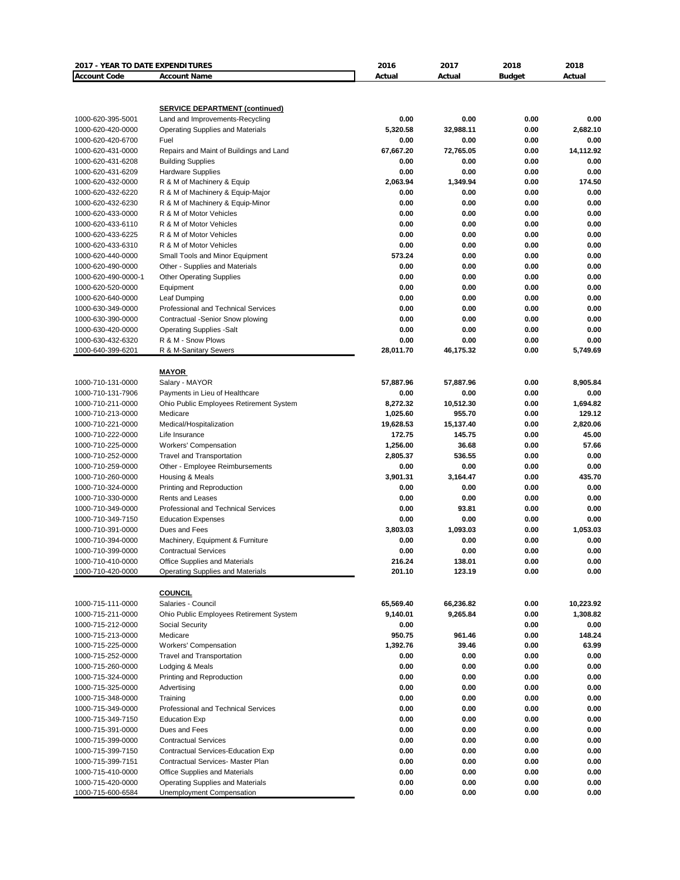| <b>2017 - YEAR TO DATE EXPENDITURES</b><br><b>Account Code</b> | <b>Account Name</b>                                                | 2016<br>Actual       | 2017<br>Actual      | 2018<br><b>Budget</b> | 2018<br>Actual     |
|----------------------------------------------------------------|--------------------------------------------------------------------|----------------------|---------------------|-----------------------|--------------------|
|                                                                |                                                                    |                      |                     |                       |                    |
|                                                                | <b>SERVICE DEPARTMENT (continued)</b>                              |                      |                     |                       |                    |
| 1000-620-395-5001                                              | Land and Improvements-Recycling                                    | 0.00                 | 0.00                | 0.00                  | 0.00               |
| 1000-620-420-0000                                              | <b>Operating Supplies and Materials</b>                            | 5,320.58             | 32.988.11           | 0.00                  | 2,682.10           |
| 1000-620-420-6700                                              | Fuel                                                               | 0.00                 | 0.00                | 0.00                  | 0.00               |
| 1000-620-431-0000                                              | Repairs and Maint of Buildings and Land                            | 67,667.20            | 72,765.05           | 0.00                  | 14,112.92          |
| 1000-620-431-6208<br>1000-620-431-6209                         | <b>Building Supplies</b><br><b>Hardware Supplies</b>               | 0.00<br>0.00         | 0.00<br>0.00        | 0.00<br>0.00          | 0.00<br>0.00       |
| 1000-620-432-0000                                              | R & M of Machinery & Equip                                         | 2,063.94             | 1,349.94            | 0.00                  | 174.50             |
| 1000-620-432-6220                                              | R & M of Machinery & Equip-Major                                   | 0.00                 | 0.00                | 0.00                  | 0.00               |
| 1000-620-432-6230                                              | R & M of Machinery & Equip-Minor                                   | 0.00                 | 0.00                | 0.00                  | 0.00               |
| 1000-620-433-0000                                              | R & M of Motor Vehicles                                            | 0.00                 | 0.00                | 0.00                  | 0.00               |
| 1000-620-433-6110                                              | R & M of Motor Vehicles                                            | 0.00                 | 0.00                | 0.00                  | 0.00               |
| 1000-620-433-6225                                              | R & M of Motor Vehicles                                            | 0.00                 | 0.00                | 0.00                  | 0.00               |
| 1000-620-433-6310                                              | R & M of Motor Vehicles                                            | 0.00<br>573.24       | 0.00<br>0.00        | 0.00                  | 0.00<br>0.00       |
| 1000-620-440-0000<br>1000-620-490-0000                         | Small Tools and Minor Equipment<br>Other - Supplies and Materials  | 0.00                 | 0.00                | 0.00<br>0.00          | 0.00               |
| 1000-620-490-0000-1                                            | <b>Other Operating Supplies</b>                                    | 0.00                 | 0.00                | 0.00                  | 0.00               |
| 1000-620-520-0000                                              | Equipment                                                          | 0.00                 | 0.00                | 0.00                  | 0.00               |
| 1000-620-640-0000                                              | Leaf Dumping                                                       | 0.00                 | 0.00                | 0.00                  | 0.00               |
| 1000-630-349-0000                                              | Professional and Technical Services                                | 0.00                 | 0.00                | 0.00                  | 0.00               |
| 1000-630-390-0000                                              | Contractual -Senior Snow plowing                                   | 0.00                 | 0.00                | 0.00                  | 0.00               |
| 1000-630-420-0000                                              | <b>Operating Supplies -Salt</b>                                    | 0.00                 | 0.00                | 0.00                  | 0.00               |
| 1000-630-432-6320                                              | R & M - Snow Plows                                                 | 0.00                 | 0.00                | 0.00                  | 0.00<br>5.749.69   |
| 1000-640-399-6201                                              | R & M-Sanitary Sewers                                              | 28,011.70            | 46,175.32           | 0.00                  |                    |
|                                                                | <b>MAYOR</b>                                                       |                      |                     |                       |                    |
| 1000-710-131-0000                                              | Salary - MAYOR                                                     | 57,887.96            | 57,887.96           | 0.00                  | 8,905.84           |
| 1000-710-131-7906                                              | Payments in Lieu of Healthcare                                     | 0.00                 | 0.00                | 0.00                  | 0.00               |
| 1000-710-211-0000<br>1000-710-213-0000                         | Ohio Public Employees Retirement System<br>Medicare                | 8,272.32<br>1,025.60 | 10,512.30<br>955.70 | 0.00<br>0.00          | 1,694.82<br>129.12 |
| 1000-710-221-0000                                              | Medical/Hospitalization                                            | 19,628.53            | 15,137.40           | 0.00                  | 2,820.06           |
| 1000-710-222-0000                                              | Life Insurance                                                     | 172.75               | 145.75              | 0.00                  | 45.00              |
| 1000-710-225-0000                                              | Workers' Compensation                                              | 1,256.00             | 36.68               | 0.00                  | 57.66              |
| 1000-710-252-0000                                              | <b>Travel and Transportation</b>                                   | 2,805.37             | 536.55              | 0.00                  | 0.00               |
| 1000-710-259-0000                                              | Other - Employee Reimbursements                                    | 0.00                 | 0.00                | 0.00                  | 0.00               |
| 1000-710-260-0000                                              | Housing & Meals                                                    | 3,901.31             | 3,164.47            | 0.00                  | 435.70             |
| 1000-710-324-0000                                              | Printing and Reproduction                                          | 0.00                 | 0.00                | 0.00                  | 0.00               |
| 1000-710-330-0000<br>1000-710-349-0000                         | <b>Rents and Leases</b><br>Professional and Technical Services     | 0.00<br>0.00         | 0.00<br>93.81       | 0.00<br>0.00          | 0.00<br>0.00       |
| 1000-710-349-7150                                              | <b>Education Expenses</b>                                          | 0.00                 | 0.00                | 0.00                  | 0.00               |
| 1000-710-391-0000                                              | Dues and Fees                                                      | 3,803.03             | 1,093.03            | 0.00                  | 1,053.03           |
| 1000-710-394-0000                                              | Machinery, Equipment & Furniture                                   | 0.00                 | 0.00                | 0.00                  | 0.00               |
| 1000-710-399-0000                                              | <b>Contractual Services</b>                                        | 0.00                 | 0.00                | 0.00                  | 0.00               |
| 1000-710-410-0000                                              | Office Supplies and Materials                                      | 216.24               | 138.01              | 0.00                  | 0.00               |
| 1000-710-420-0000                                              | Operating Supplies and Materials                                   | 201.10               | 123.19              | 0.00                  | 0.00               |
|                                                                | <b>COUNCIL</b>                                                     |                      |                     |                       |                    |
| 1000-715-111-0000                                              | Salaries - Council                                                 | 65,569.40            | 66,236.82           | 0.00                  | 10,223.92          |
| 1000-715-211-0000                                              | Ohio Public Employees Retirement System                            | 9,140.01             | 9,265.84            | 0.00                  | 1,308.82           |
| 1000-715-212-0000                                              | Social Security                                                    | 0.00                 |                     | 0.00                  | 0.00               |
| 1000-715-213-0000                                              | Medicare                                                           | 950.75               | 961.46              | 0.00                  | 148.24             |
| 1000-715-225-0000                                              | Workers' Compensation                                              | 1,392.76             | 39.46               | 0.00                  | 63.99              |
| 1000-715-252-0000<br>1000-715-260-0000                         | Travel and Transportation<br>Lodging & Meals                       | 0.00<br>0.00         | 0.00<br>0.00        | 0.00<br>0.00          | 0.00<br>0.00       |
| 1000-715-324-0000                                              | Printing and Reproduction                                          | 0.00                 | 0.00                | 0.00                  | 0.00               |
| 1000-715-325-0000                                              | Advertising                                                        | 0.00                 | 0.00                | 0.00                  | 0.00               |
| 1000-715-348-0000                                              | Training                                                           | 0.00                 | 0.00                | 0.00                  | 0.00               |
| 1000-715-349-0000                                              | Professional and Technical Services                                | 0.00                 | 0.00                | 0.00                  | 0.00               |
| 1000-715-349-7150                                              | <b>Education Exp</b>                                               | 0.00                 | 0.00                | 0.00                  | 0.00               |
| 1000-715-391-0000                                              | Dues and Fees                                                      | 0.00                 | 0.00                | 0.00                  | 0.00               |
| 1000-715-399-0000                                              | <b>Contractual Services</b>                                        | 0.00                 | 0.00                | 0.00                  | 0.00               |
| 1000-715-399-7150                                              | Contractual Services-Education Exp                                 | 0.00                 | 0.00                | 0.00                  | 0.00               |
| 1000-715-399-7151<br>1000-715-410-0000                         | Contractual Services- Master Plan<br>Office Supplies and Materials | 0.00<br>0.00         | 0.00<br>0.00        | 0.00<br>0.00          | 0.00<br>0.00       |
| 1000-715-420-0000                                              | <b>Operating Supplies and Materials</b>                            | 0.00                 | 0.00                | 0.00                  | 0.00               |
| 1000-715-600-6584                                              | Unemployment Compensation                                          | 0.00                 | 0.00                | 0.00                  | 0.00               |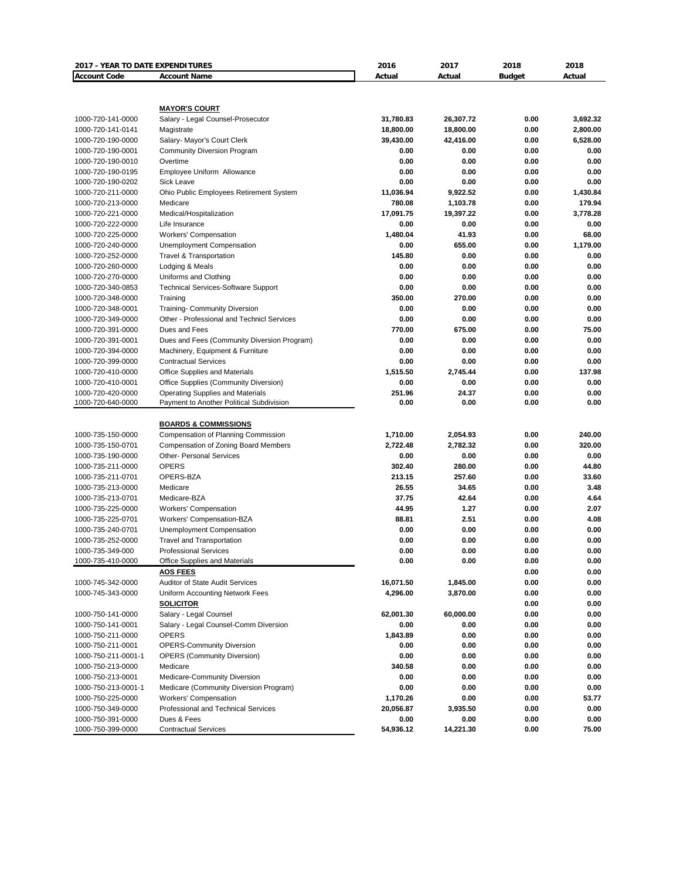| 2017 - YEAR TO DATE EXPENDITURES |                                                           | 2016      | 2017      | 2018          | 2018     |
|----------------------------------|-----------------------------------------------------------|-----------|-----------|---------------|----------|
| <b>Account Code</b>              | <b>Account Name</b>                                       | Actual    | Actual    | <b>Budget</b> | Actual   |
|                                  |                                                           |           |           |               |          |
|                                  |                                                           |           |           |               |          |
| 1000-720-141-0000                | <b>MAYOR'S COURT</b><br>Salary - Legal Counsel-Prosecutor | 31,780.83 | 26,307.72 | 0.00          | 3.692.32 |
| 1000-720-141-0141                | Magistrate                                                | 18,800.00 | 18,800.00 | 0.00          | 2,800.00 |
| 1000-720-190-0000                | Salary- Mayor's Court Clerk                               | 39,430.00 | 42,416.00 | 0.00          | 6,528.00 |
| 1000-720-190-0001                | <b>Community Diversion Program</b>                        | 0.00      | 0.00      | 0.00          | 0.00     |
| 1000-720-190-0010                | Overtime                                                  | 0.00      | 0.00      | 0.00          | 0.00     |
| 1000-720-190-0195                | Employee Uniform Allowance                                | 0.00      | 0.00      | 0.00          | 0.00     |
| 1000-720-190-0202                | Sick Leave                                                | 0.00      | 0.00      | 0.00          | 0.00     |
| 1000-720-211-0000                | Ohio Public Employees Retirement System                   | 11,036.94 | 9,922.52  | 0.00          | 1,430.84 |
| 1000-720-213-0000                | Medicare                                                  | 780.08    | 1,103.78  | 0.00          | 179.94   |
| 1000-720-221-0000                | Medical/Hospitalization                                   | 17,091.75 | 19,397.22 | 0.00          | 3,778.28 |
| 1000-720-222-0000                | Life Insurance                                            | 0.00      | 0.00      | 0.00          | 0.00     |
| 1000-720-225-0000                | <b>Workers' Compensation</b>                              | 1,480.04  | 41.93     | 0.00          | 68.00    |
| 1000-720-240-0000                | Unemployment Compensation                                 | 0.00      | 655.00    | 0.00          | 1,179.00 |
| 1000-720-252-0000                | <b>Travel &amp; Transportation</b>                        | 145.80    | 0.00      | 0.00          | 0.00     |
| 1000-720-260-0000                | Lodging & Meals                                           | 0.00      | 0.00      | 0.00          | 0.00     |
| 1000-720-270-0000                | Uniforms and Clothing                                     | 0.00      | 0.00      | 0.00          | 0.00     |
| 1000-720-340-0853                | <b>Technical Services-Software Support</b>                | 0.00      | 0.00      | 0.00          | 0.00     |
| 1000-720-348-0000                | Training                                                  | 350.00    | 270.00    | 0.00          | 0.00     |
| 1000-720-348-0001                | Training- Community Diversion                             | 0.00      | 0.00      | 0.00          | 0.00     |
| 1000-720-349-0000                | Other - Professional and Technicl Services                | 0.00      | 0.00      | 0.00          | 0.00     |
| 1000-720-391-0000                | Dues and Fees                                             | 770.00    | 675.00    | 0.00          | 75.00    |
| 1000-720-391-0001                | Dues and Fees (Community Diversion Program)               | 0.00      | 0.00      | 0.00          | 0.00     |
| 1000-720-394-0000                | Machinery, Equipment & Furniture                          | 0.00      | 0.00      | 0.00          | 0.00     |
| 1000-720-399-0000                | <b>Contractual Services</b>                               | 0.00      | 0.00      | 0.00          | 0.00     |
| 1000-720-410-0000                | Office Supplies and Materials                             | 1,515.50  | 2,745.44  | 0.00          | 137.98   |
| 1000-720-410-0001                | Office Supplies (Community Diversion)                     | 0.00      | 0.00      | 0.00          | 0.00     |
| 1000-720-420-0000                | <b>Operating Supplies and Materials</b>                   | 251.96    | 24.37     | 0.00          | 0.00     |
| 1000-720-640-0000                | Payment to Another Political Subdivision                  | 0.00      | 0.00      | 0.00          | 0.00     |
|                                  |                                                           |           |           |               |          |
|                                  | <b>BOARDS &amp; COMMISSIONS</b>                           |           |           |               |          |
| 1000-735-150-0000                | Compensation of Planning Commission                       | 1,710.00  | 2,054.93  | 0.00          | 240.00   |
| 1000-735-150-0701                | Compensation of Zoning Board Members                      | 2,722.48  | 2,782.32  | 0.00          | 320.00   |
| 1000-735-190-0000                | <b>Other- Personal Services</b>                           | 0.00      | 0.00      | 0.00          | 0.00     |
| 1000-735-211-0000                | <b>OPERS</b>                                              | 302.40    | 280.00    | 0.00          | 44.80    |
| 1000-735-211-0701                | OPERS-BZA                                                 | 213.15    | 257.60    | 0.00          | 33.60    |
| 1000-735-213-0000                | Medicare                                                  | 26.55     | 34.65     | 0.00          | 3.48     |
| 1000-735-213-0701                | Medicare-BZA                                              | 37.75     | 42.64     | 0.00          | 4.64     |
| 1000-735-225-0000                | <b>Workers' Compensation</b>                              | 44.95     | 1.27      | 0.00          | 2.07     |
| 1000-735-225-0701                | Workers' Compensation-BZA                                 | 88.81     | 2.51      | 0.00          | 4.08     |
| 1000-735-240-0701                | Unemployment Compensation                                 | 0.00      | 0.00      | 0.00          | 0.00     |
| 1000-735-252-0000                | Travel and Transportation                                 | 0.00      | 0.00      | 0.00          | 0.00     |
| 1000-735-349-000                 | <b>Professional Services</b>                              | 0.00      | 0.00      | 0.00          | 0.00     |
| 1000-735-410-0000                | Office Supplies and Materials                             | 0.00      | 0.00      | 0.00          | 0.00     |
|                                  | <b>AOS FEES</b>                                           |           |           | 0.00          | 0.00     |
| 1000-745-342-0000                | Auditor of State Audit Services                           | 16,071.50 | 1,845.00  | 0.00          | 0.00     |
| 1000-745-343-0000                | Uniform Accounting Network Fees                           | 4,296.00  | 3,870.00  | 0.00          | 0.00     |
|                                  | <b>SOLICITOR</b>                                          |           |           | 0.00          | 0.00     |
| 1000-750-141-0000                | Salary - Legal Counsel                                    | 62,001.30 | 60,000.00 | 0.00          | 0.00     |
| 1000-750-141-0001                | Salary - Legal Counsel-Comm Diversion                     | 0.00      | 0.00      | 0.00          | 0.00     |
| 1000-750-211-0000                | <b>OPERS</b>                                              | 1,843.89  | 0.00      | 0.00          | 0.00     |
| 1000-750-211-0001                | <b>OPERS-Community Diversion</b>                          | 0.00      | 0.00      | 0.00          | 0.00     |
| 1000-750-211-0001-1              | <b>OPERS (Community Diversion)</b>                        | 0.00      | 0.00      | 0.00          | 0.00     |
| 1000-750-213-0000                | Medicare                                                  | 340.58    | 0.00      | 0.00          | 0.00     |
| 1000-750-213-0001                | Medicare-Community Diversion                              | 0.00      | 0.00      | 0.00          | 0.00     |
| 1000-750-213-0001-1              | Medicare (Community Diversion Program)                    | 0.00      | 0.00      | 0.00          | 0.00     |
| 1000-750-225-0000                | <b>Workers' Compensation</b>                              | 1,170.26  | 0.00      | 0.00          | 53.77    |
| 1000-750-349-0000                | Professional and Technical Services                       | 20,056.87 | 3,935.50  | 0.00          | 0.00     |
| 1000-750-391-0000                | Dues & Fees                                               | 0.00      | 0.00      | 0.00          | 0.00     |
| 1000-750-399-0000                | <b>Contractual Services</b>                               | 54,936.12 | 14,221.30 | 0.00          | 75.00    |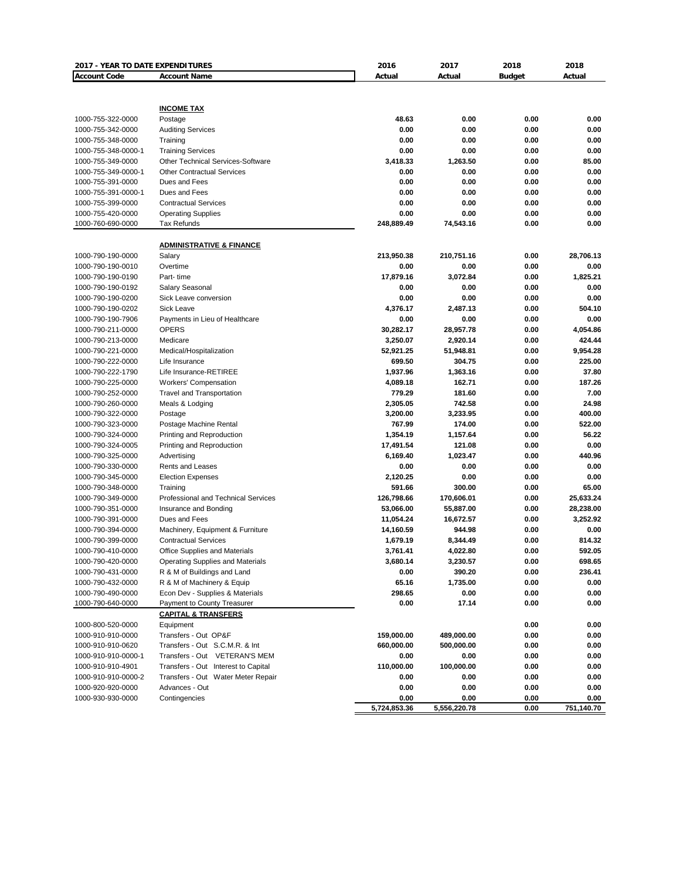| 2017 - YEAR TO DATE EXPENDITURES |                                            | 2016         | 2017         | 2018          | 2018       |
|----------------------------------|--------------------------------------------|--------------|--------------|---------------|------------|
| <b>Account Code</b>              | <b>Account Name</b>                        | Actual       | Actual       | <b>Budget</b> | Actual     |
|                                  |                                            |              |              |               |            |
|                                  |                                            |              |              |               |            |
|                                  | <b>INCOME TAX</b>                          |              |              |               |            |
| 1000-755-322-0000                | Postage                                    | 48.63        | 0.00         | 0.00          | 0.00       |
| 1000-755-342-0000                | <b>Auditing Services</b>                   | 0.00         | 0.00         | 0.00          | 0.00       |
| 1000-755-348-0000                | Training                                   | 0.00         | 0.00         | 0.00          | 0.00       |
| 1000-755-348-0000-1              | <b>Training Services</b>                   | 0.00         | 0.00         | 0.00          | 0.00       |
| 1000-755-349-0000                | <b>Other Technical Services-Software</b>   | 3,418.33     | 1,263.50     | 0.00          | 85.00      |
| 1000-755-349-0000-1              | <b>Other Contractual Services</b>          | 0.00         | 0.00         | 0.00          | 0.00       |
| 1000-755-391-0000                | Dues and Fees                              | 0.00         | 0.00         | 0.00          | 0.00       |
| 1000-755-391-0000-1              | Dues and Fees                              | 0.00         | 0.00         | 0.00          | 0.00       |
| 1000-755-399-0000                | <b>Contractual Services</b>                | 0.00         | 0.00         | 0.00          | 0.00       |
| 1000-755-420-0000                | <b>Operating Supplies</b>                  | 0.00         | 0.00         | 0.00          | 0.00       |
| 1000-760-690-0000                | Tax Refunds                                | 248,889.49   | 74,543.16    | 0.00          | 0.00       |
|                                  |                                            |              |              |               |            |
|                                  | <b>ADMINISTRATIVE &amp; FINANCE</b>        |              |              |               |            |
| 1000-790-190-0000                | Salary                                     | 213,950.38   | 210,751.16   | 0.00          | 28,706.13  |
| 1000-790-190-0010                | Overtime                                   | 0.00         | 0.00         | 0.00          | 0.00       |
| 1000-790-190-0190                | Part-time                                  | 17,879.16    | 3,072.84     | 0.00          | 1,825.21   |
| 1000-790-190-0192                | Salary Seasonal                            | 0.00         | 0.00         | 0.00          | 0.00       |
| 1000-790-190-0200                | Sick Leave conversion                      | 0.00         | 0.00         | 0.00          | 0.00       |
| 1000-790-190-0202                | Sick Leave                                 | 4,376.17     | 2,487.13     | 0.00          | 504.10     |
| 1000-790-190-7906                | Payments in Lieu of Healthcare             | 0.00         | 0.00         | 0.00          | 0.00       |
| 1000-790-211-0000                | <b>OPERS</b>                               | 30,282.17    | 28,957.78    | 0.00          | 4,054.86   |
| 1000-790-213-0000                | Medicare                                   | 3,250.07     | 2,920.14     | 0.00          | 424.44     |
| 1000-790-221-0000                | Medical/Hospitalization                    | 52,921.25    | 51,948.81    | 0.00          | 9,954.28   |
| 1000-790-222-0000                | Life Insurance                             | 699.50       | 304.75       | 0.00          | 225.00     |
| 1000-790-222-1790                | Life Insurance-RETIREE                     | 1,937.96     | 1,363.16     | 0.00          | 37.80      |
| 1000-790-225-0000                | <b>Workers' Compensation</b>               | 4,089.18     | 162.71       | 0.00          | 187.26     |
| 1000-790-252-0000                | <b>Travel and Transportation</b>           | 779.29       | 181.60       | 0.00          | 7.00       |
| 1000-790-260-0000                | Meals & Lodging                            | 2,305.05     | 742.58       | 0.00          | 24.98      |
| 1000-790-322-0000                | Postage                                    | 3,200.00     | 3,233.95     | 0.00          | 400.00     |
| 1000-790-323-0000                | Postage Machine Rental                     | 767.99       | 174.00       | 0.00          | 522.00     |
| 1000-790-324-0000                | Printing and Reproduction                  | 1,354.19     | 1,157.64     | 0.00          | 56.22      |
| 1000-790-324-0005                | Printing and Reproduction                  | 17,491.54    | 121.08       | 0.00          | 0.00       |
| 1000-790-325-0000                | Advertising                                | 6,169.40     | 1,023.47     | 0.00          | 440.96     |
| 1000-790-330-0000                | Rents and Leases                           | 0.00         | 0.00         | 0.00          | 0.00       |
| 1000-790-345-0000                | <b>Election Expenses</b>                   | 2,120.25     | 0.00         | 0.00          | 0.00       |
| 1000-790-348-0000                | Training                                   | 591.66       | 300.00       | 0.00          | 65.00      |
| 1000-790-349-0000                | <b>Professional and Technical Services</b> | 126,798.66   | 170,606.01   | 0.00          | 25,633.24  |
| 1000-790-351-0000                | Insurance and Bonding                      | 53,066.00    | 55,887.00    | 0.00          | 28,238.00  |
| 1000-790-391-0000                | Dues and Fees                              | 11,054.24    | 16,672.57    | 0.00          | 3,252.92   |
| 1000-790-394-0000                | Machinery, Equipment & Furniture           | 14,160.59    | 944.98       | 0.00          | 0.00       |
| 1000-790-399-0000                | <b>Contractual Services</b>                | 1,679.19     | 8,344.49     | 0.00          | 814.32     |
| 1000-790-410-0000                | <b>Office Supplies and Materials</b>       | 3,761.41     | 4.022.80     | 0.00          | 592.05     |
| 1000-790-420-0000                | Operating Supplies and Materials           | 3,680.14     | 3,230.57     | 0.00          | 698.65     |
| 1000-790-431-0000                | R & M of Buildings and Land                | 0.00         | 390.20       | 0.00          | 236.41     |
| 1000-790-432-0000                | R & M of Machinery & Equip                 | 65.16        | 1,735.00     | 0.00          | 0.00       |
| 1000-790-490-0000                | Econ Dev - Supplies & Materials            | 298.65       | 0.00         | 0.00          | 0.00       |
| 1000-790-640-0000                | Payment to County Treasurer                | 0.00         | 17.14        | 0.00          | 0.00       |
|                                  | <b>CAPITAL &amp; TRANSFERS</b>             |              |              |               |            |
| 1000-800-520-0000                | Equipment                                  |              |              | 0.00          | 0.00       |
| 1000-910-910-0000                | Transfers - Out OP&F                       | 159,000.00   | 489,000.00   | 0.00          | 0.00       |
| 1000-910-910-0620                | Transfers - Out S.C.M.R. & Int             | 660,000.00   | 500,000.00   | 0.00          | 0.00       |
| 1000-910-910-0000-1              | Transfers - Out VETERAN'S MEM              | 0.00         | 0.00         | 0.00          | 0.00       |
| 1000-910-910-4901                | Transfers - Out Interest to Capital        | 110,000.00   | 100,000.00   | 0.00          | 0.00       |
| 1000-910-910-0000-2              | Transfers - Out Water Meter Repair         | 0.00         | 0.00         | 0.00          | 0.00       |
| 1000-920-920-0000                | Advances - Out                             | 0.00         | 0.00         | 0.00          | 0.00       |
| 1000-930-930-0000                | Contingencies                              | 0.00         | 0.00         | 0.00          | 0.00       |
|                                  |                                            | 5,724,853.36 | 5,556,220.78 | 0.00          | 751,140.70 |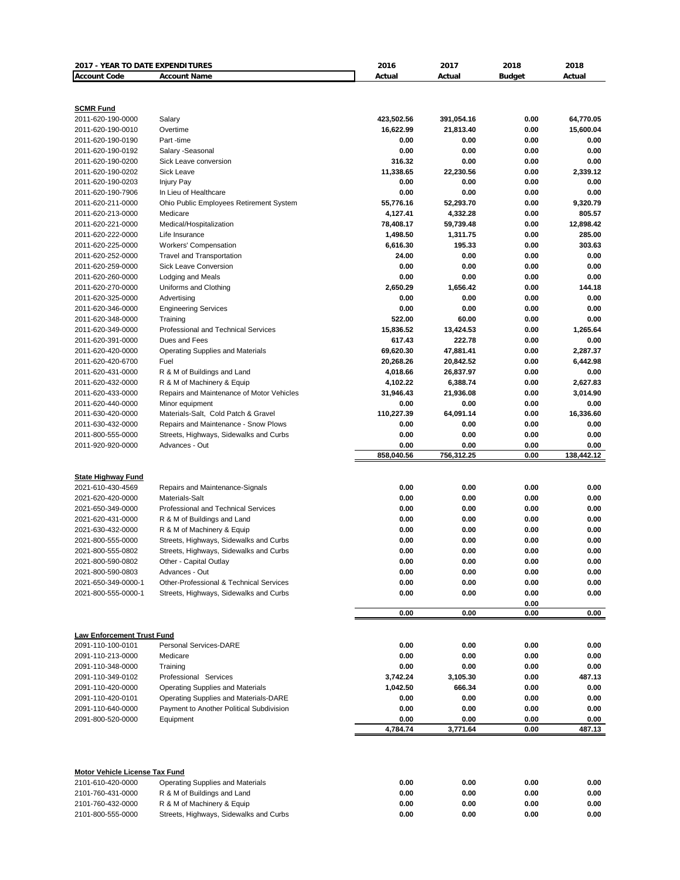| 2017 - YEAR TO DATE EXPENDITURES       |                                                | 2016                 | 2017               | 2018          | 2018                |
|----------------------------------------|------------------------------------------------|----------------------|--------------------|---------------|---------------------|
| <b>Account Code</b>                    | <b>Account Name</b>                            | Actual               | Actual             | <b>Budget</b> | Actual              |
|                                        |                                                |                      |                    |               |                     |
| <b>SCMR Fund</b><br>2011-620-190-0000  | Salary                                         | 423,502.56           | 391,054.16         | 0.00          | 64,770.05           |
| 2011-620-190-0010                      | Overtime                                       | 16,622.99            | 21,813.40          | 0.00          | 15,600.04           |
| 2011-620-190-0190                      | Part-time                                      | 0.00                 | 0.00               | 0.00          | 0.00                |
| 2011-620-190-0192                      | Salary - Seasonal                              | 0.00                 | 0.00               | 0.00          | 0.00                |
| 2011-620-190-0200                      | Sick Leave conversion                          | 316.32               | 0.00               | 0.00          | 0.00                |
| 2011-620-190-0202                      | Sick Leave                                     | 11,338.65            | 22,230.56          | 0.00          | 2,339.12            |
| 2011-620-190-0203                      | <b>Injury Pay</b>                              | 0.00                 | 0.00               | 0.00          | 0.00                |
| 2011-620-190-7906                      | In Lieu of Healthcare                          | 0.00                 | 0.00               | 0.00          | 0.00                |
| 2011-620-211-0000                      | Ohio Public Employees Retirement System        | 55,776.16            | 52,293.70          | 0.00          | 9,320.79            |
| 2011-620-213-0000                      | Medicare                                       | 4,127.41             | 4,332.28           | 0.00          | 805.57              |
| 2011-620-221-0000<br>2011-620-222-0000 | Medical/Hospitalization                        | 78,408.17            | 59,739.48          | 0.00<br>0.00  | 12,898.42<br>285.00 |
| 2011-620-225-0000                      | Life Insurance<br><b>Workers' Compensation</b> | 1,498.50<br>6,616.30 | 1,311.75<br>195.33 | 0.00          | 303.63              |
| 2011-620-252-0000                      | Travel and Transportation                      | 24.00                | 0.00               | 0.00          | 0.00                |
| 2011-620-259-0000                      | <b>Sick Leave Conversion</b>                   | 0.00                 | 0.00               | 0.00          | 0.00                |
| 2011-620-260-0000                      | Lodging and Meals                              | 0.00                 | 0.00               | 0.00          | 0.00                |
| 2011-620-270-0000                      | Uniforms and Clothing                          | 2.650.29             | 1,656.42           | 0.00          | 144.18              |
| 2011-620-325-0000                      | Advertising                                    | 0.00                 | 0.00               | 0.00          | 0.00                |
| 2011-620-346-0000                      | <b>Engineering Services</b>                    | 0.00                 | 0.00               | 0.00          | 0.00                |
| 2011-620-348-0000                      | Training                                       | 522.00               | 60.00              | 0.00          | 0.00                |
| 2011-620-349-0000                      | <b>Professional and Technical Services</b>     | 15,836.52            | 13,424.53          | 0.00          | 1,265.64            |
| 2011-620-391-0000                      | Dues and Fees                                  | 617.43               | 222.78             | 0.00          | 0.00                |
| 2011-620-420-0000                      | Operating Supplies and Materials               | 69,620.30            | 47,881.41          | 0.00          | 2,287.37            |
| 2011-620-420-6700                      | Fuel                                           | 20,268.26            | 20,842.52          | 0.00          | 6,442.98            |
| 2011-620-431-0000                      | R & M of Buildings and Land                    | 4,018.66             | 26,837.97          | 0.00          | 0.00                |
| 2011-620-432-0000                      | R & M of Machinery & Equip                     | 4,102.22             | 6,388.74           | 0.00          | 2,627.83            |
| 2011-620-433-0000                      | Repairs and Maintenance of Motor Vehicles      | 31,946.43            | 21,936.08          | 0.00          | 3,014.90            |
| 2011-620-440-0000                      | Minor equipment                                | 0.00                 | 0.00               | 0.00          | 0.00                |
| 2011-630-420-0000                      | Materials-Salt, Cold Patch & Gravel            | 110,227.39           | 64,091.14          | 0.00          | 16,336.60           |
| 2011-630-432-0000                      | Repairs and Maintenance - Snow Plows           | 0.00                 | 0.00               | 0.00          | 0.00                |
| 2011-800-555-0000                      | Streets, Highways, Sidewalks and Curbs         | 0.00                 | 0.00               | 0.00          | 0.00                |
| 2011-920-920-0000                      | Advances - Out                                 | 0.00                 | 0.00               | 0.00          | 0.00                |
|                                        |                                                | 858,040.56           | 756,312.25         | 0.00          | 138,442.12          |
| <b>State Highway Fund</b>              |                                                |                      |                    |               |                     |
| 2021-610-430-4569                      | Repairs and Maintenance-Signals                | 0.00                 | 0.00               | 0.00          | 0.00                |
| 2021-620-420-0000                      | Materials-Salt                                 | 0.00                 | 0.00               | 0.00          | 0.00                |
| 2021-650-349-0000                      | Professional and Technical Services            | 0.00                 | 0.00               | 0.00          | 0.00                |
| 2021-620-431-0000                      | R & M of Buildings and Land                    | 0.00                 | 0.00               | 0.00          | 0.00                |
| 2021-630-432-0000                      | R & M of Machinery & Equip                     | 0.00                 | 0.00               | 0.00          | 0.00                |
| 2021-800-555-0000                      | Streets, Highways, Sidewalks and Curbs         | 0.00                 | 0.00               | 0.00          | 0.00                |
| 2021-800-555-0802                      | Streets, Highways, Sidewalks and Curbs         | 0.00                 | 0.00               | 0.00          | 0.00                |
| 2021-800-590-0802                      | Other - Capital Outlay                         | 0.00                 | 0.00               | 0.00          | 0.00                |
| 2021-800-590-0803                      | Advances - Out                                 | 0.00                 | 0.00               | 0.00          | 0.00                |
| 2021-650-349-0000-1                    | Other-Professional & Technical Services        | 0.00                 | 0.00               | 0.00          | 0.00                |
| 2021-800-555-0000-1                    | Streets, Highways, Sidewalks and Curbs         | 0.00                 | 0.00               | 0.00<br>0.00  | 0.00                |
|                                        |                                                | 0.00                 | 0.00               | 0.00          | 0.00                |
|                                        |                                                |                      |                    |               |                     |
| <b>Law Enforcement Trust Fund</b>      |                                                |                      |                    |               |                     |
| 2091-110-100-0101                      | <b>Personal Services-DARE</b>                  | 0.00                 | 0.00               | 0.00          | 0.00                |
| 2091-110-213-0000                      | Medicare                                       | 0.00                 | 0.00               | 0.00          | 0.00                |
| 2091-110-348-0000                      | Training                                       | 0.00                 | 0.00               | 0.00          | 0.00                |
| 2091-110-349-0102                      | Professional Services                          | 3,742.24             | 3,105.30           | 0.00          | 487.13              |
| 2091-110-420-0000                      | <b>Operating Supplies and Materials</b>        | 1,042.50             | 666.34             | 0.00          | 0.00                |
| 2091-110-420-0101                      | Operating Supplies and Materials-DARE          | 0.00                 | 0.00               | 0.00          | 0.00                |
| 2091-110-640-0000                      | Payment to Another Political Subdivision       | 0.00                 | 0.00               | 0.00          | 0.00                |
| 2091-800-520-0000                      | Equipment                                      | 0.00<br>4,784.74     | 0.00<br>3,771.64   | 0.00<br>0.00  | 0.00<br>487.13      |
|                                        |                                                |                      |                    |               |                     |
| Motor Vehicle License Tax Fund         |                                                |                      |                    |               |                     |
| 2101-610-420-0000                      | <b>Operating Supplies and Materials</b>        | 0.00                 | 0.00               | 0.00          | 0.00                |
| 2101-760-431-0000                      | R & M of Buildings and Land                    | 0.00                 | 0.00               | 0.00          | 0.00                |
| 2101-760-432-0000                      | R & M of Machinery & Equip                     | 0.00                 | 0.00               | 0.00          | 0.00                |
| 2101-800-555-0000                      | Streets, Highways, Sidewalks and Curbs         | 0.00                 | 0.00               | 0.00          | 0.00                |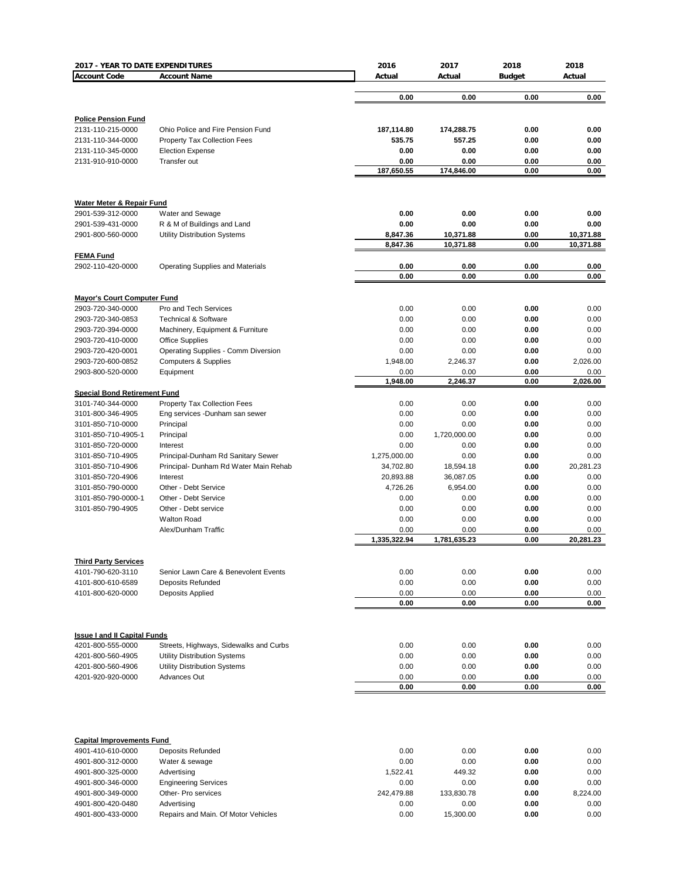| 2017 - YEAR TO DATE EXPENDITURES                         |                                                                       | 2016                 | 2017                   | 2018          | 2018                   |
|----------------------------------------------------------|-----------------------------------------------------------------------|----------------------|------------------------|---------------|------------------------|
| <b>Account Code</b>                                      | <b>Account Name</b>                                                   | Actual               | Actual                 | <b>Budget</b> | Actual                 |
|                                                          |                                                                       | 0.00                 | 0.00                   | 0.00          | 0.00                   |
|                                                          |                                                                       |                      |                        |               |                        |
| <b>Police Pension Fund</b>                               |                                                                       |                      |                        |               |                        |
| 2131-110-215-0000                                        | Ohio Police and Fire Pension Fund                                     | 187,114.80           | 174,288.75             | 0.00          | 0.00                   |
| 2131-110-344-0000                                        | <b>Property Tax Collection Fees</b>                                   | 535.75               | 557.25                 | 0.00          | 0.00                   |
| 2131-110-345-0000                                        | <b>Election Expense</b>                                               | 0.00                 | 0.00                   | 0.00          | 0.00                   |
| 2131-910-910-0000                                        | Transfer out                                                          | 0.00                 | 0.00                   | 0.00          | 0.00                   |
|                                                          |                                                                       | 187,650.55           | 174,846.00             | 0.00          | 0.00                   |
| <b>Water Meter &amp; Repair Fund</b>                     |                                                                       |                      |                        |               |                        |
| 2901-539-312-0000                                        | Water and Sewage                                                      | 0.00                 | 0.00                   | 0.00          | 0.00                   |
| 2901-539-431-0000                                        | R & M of Buildings and Land                                           | 0.00                 | 0.00                   | 0.00          | 0.00                   |
| 2901-800-560-0000                                        | <b>Utility Distribution Systems</b>                                   | 8,847.36<br>8,847.36 | 10,371.88<br>10,371.88 | 0.00<br>0.00  | 10,371.88<br>10,371.88 |
| <b>FEMA Fund</b>                                         |                                                                       |                      |                        |               |                        |
| 2902-110-420-0000                                        | <b>Operating Supplies and Materials</b>                               | 0.00<br>0.00         | 0.00<br>0.00           | 0.00<br>0.00  | 0.00<br>0.00           |
|                                                          |                                                                       |                      |                        |               |                        |
| <b>Mayor's Court Computer Fund</b><br>2903-720-340-0000  | Pro and Tech Services                                                 | 0.00                 | 0.00                   | 0.00          | 0.00                   |
| 2903-720-340-0853                                        | <b>Technical &amp; Software</b>                                       | 0.00                 | 0.00                   | 0.00          | 0.00                   |
| 2903-720-394-0000                                        | Machinery, Equipment & Furniture                                      | 0.00                 | 0.00                   | 0.00          | 0.00                   |
| 2903-720-410-0000                                        | <b>Office Supplies</b>                                                | 0.00                 | 0.00                   | 0.00          | 0.00                   |
| 2903-720-420-0001                                        | Operating Supplies - Comm Diversion                                   | 0.00                 | 0.00                   | 0.00          | 0.00                   |
| 2903-720-600-0852                                        | <b>Computers &amp; Supplies</b>                                       | 1,948.00             | 2,246.37               | 0.00          | 2,026.00               |
| 2903-800-520-0000                                        | Equipment                                                             | 0.00                 | 0.00                   | 0.00          | 0.00                   |
|                                                          |                                                                       | 1,948.00             | 2,246.37               | 0.00          | 2,026.00               |
| <b>Special Bond Retirement Fund</b>                      |                                                                       | 0.00                 | 0.00                   |               |                        |
| 3101-740-344-0000<br>3101-800-346-4905                   | <b>Property Tax Collection Fees</b><br>Eng services -Dunham san sewer | 0.00                 | 0.00                   | 0.00<br>0.00  | 0.00<br>0.00           |
| 3101-850-710-0000                                        | Principal                                                             | 0.00                 | 0.00                   | 0.00          | 0.00                   |
| 3101-850-710-4905-1                                      | Principal                                                             | 0.00                 | 1,720,000.00           | 0.00          | 0.00                   |
| 3101-850-720-0000                                        | Interest                                                              | 0.00                 | 0.00                   | 0.00          | 0.00                   |
| 3101-850-710-4905                                        | Principal-Dunham Rd Sanitary Sewer                                    | 1,275,000.00         | 0.00                   | 0.00          | 0.00                   |
| 3101-850-710-4906                                        | Principal- Dunham Rd Water Main Rehab                                 | 34,702.80            | 18,594.18              | 0.00          | 20,281.23              |
| 3101-850-720-4906                                        | Interest                                                              | 20,893.88            | 36,087.05              | 0.00          | 0.00                   |
| 3101-850-790-0000                                        | Other - Debt Service                                                  | 4,726.26             | 6,954.00               | 0.00          | 0.00                   |
| 3101-850-790-0000-1                                      | Other - Debt Service                                                  | 0.00                 | 0.00                   | 0.00          | 0.00                   |
| 3101-850-790-4905                                        | Other - Debt service                                                  | 0.00                 | 0.00                   | 0.00          | 0.00                   |
|                                                          | <b>Walton Road</b>                                                    | 0.00                 | 0.00                   | 0.00          | 0.00                   |
|                                                          | Alex/Dunham Traffic                                                   | 0.00                 | 0.00                   | 0.00          | 0.00                   |
|                                                          |                                                                       | 1,335,322.94         | 1,781,635.23           | 0.00          | 20,281.23              |
| <b>Third Party Services</b>                              |                                                                       |                      |                        |               |                        |
| 4101-790-620-3110                                        | Senior Lawn Care & Benevolent Events                                  | 0.00                 | 0.00                   | 0.00          | 0.00                   |
| 4101-800-610-6589                                        | Deposits Refunded                                                     | 0.00                 | 0.00                   | 0.00          | 0.00                   |
| 4101-800-620-0000                                        | Deposits Applied                                                      | 0.00                 | 0.00                   | 0.00          | 0.00                   |
|                                                          |                                                                       | 0.00                 | 0.00                   | 0.00          | 0.00                   |
|                                                          |                                                                       |                      |                        |               |                        |
| <b>Issue I and II Capital Funds</b><br>4201-800-555-0000 | Streets, Highways, Sidewalks and Curbs                                | 0.00                 | 0.00                   | 0.00          | 0.00                   |
| 4201-800-560-4905                                        | <b>Utility Distribution Systems</b>                                   | 0.00                 | 0.00                   | 0.00          | 0.00                   |
| 4201-800-560-4906                                        | <b>Utility Distribution Systems</b>                                   | 0.00                 | 0.00                   | 0.00          | 0.00                   |
| 4201-920-920-0000                                        | Advances Out                                                          | 0.00                 | 0.00                   | 0.00          | 0.00                   |
|                                                          |                                                                       | 0.00                 | 0.00                   | 0.00          | 0.00                   |
|                                                          |                                                                       |                      |                        |               |                        |
| <b>Capital Improvements Fund</b>                         |                                                                       |                      |                        |               |                        |
| 4901-410-610-0000                                        | Deposits Refunded                                                     | 0.00                 | 0.00                   | 0.00          | 0.00                   |
| 4901-800-312-0000                                        | Water & sewage                                                        | 0.00                 | 0.00                   | 0.00          | 0.00                   |
| 4901-800-325-0000                                        | Advertising                                                           | 1,522.41             | 449.32                 | 0.00          | 0.00                   |
| 4901-800-346-0000                                        | <b>Engineering Services</b>                                           | 0.00                 | 0.00                   | 0.00          | 0.00                   |
| 4901-800-349-0000                                        | Other- Pro services                                                   | 242,479.88           | 133,830.78             | 0.00          | 8,224.00               |
| 4901-800-420-0480                                        | Advertising                                                           | 0.00                 | 0.00                   | 0.00          | 0.00                   |
| 4901-800-433-0000                                        | Repairs and Main. Of Motor Vehicles                                   | 0.00                 | 15,300.00              | 0.00          | 0.00                   |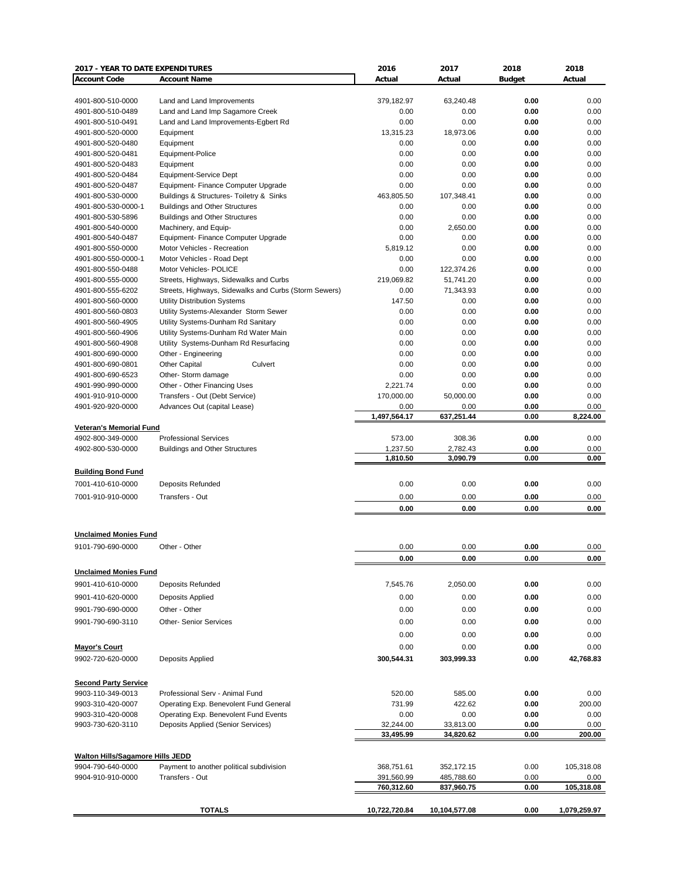| 2017 - YEAR TO DATE EXPENDITURES        |                                                       | 2016          | 2017          | 2018          | 2018         |
|-----------------------------------------|-------------------------------------------------------|---------------|---------------|---------------|--------------|
| <b>Account Code</b>                     | <b>Account Name</b>                                   | Actual        | Actual        | <b>Budget</b> | Actual       |
|                                         |                                                       |               |               |               |              |
| 4901-800-510-0000                       | Land and Land Improvements                            | 379,182.97    | 63,240.48     | 0.00          | 0.00         |
| 4901-800-510-0489                       | Land and Land Imp Sagamore Creek                      | 0.00          | 0.00          | 0.00          | 0.00         |
| 4901-800-510-0491                       | Land and Land Improvements-Egbert Rd                  | 0.00          | 0.00          | 0.00          | 0.00         |
| 4901-800-520-0000                       | Equipment                                             | 13,315.23     | 18.973.06     | 0.00          | 0.00         |
| 4901-800-520-0480                       | Equipment                                             | 0.00          | 0.00          | 0.00          | 0.00         |
| 4901-800-520-0481                       | Equipment-Police                                      | 0.00          | 0.00          | 0.00          | 0.00         |
| 4901-800-520-0483                       | Equipment                                             | 0.00          | 0.00          | 0.00          | 0.00         |
| 4901-800-520-0484                       | Equipment-Service Dept                                | 0.00          | 0.00          | 0.00          | 0.00         |
| 4901-800-520-0487                       | Equipment- Finance Computer Upgrade                   | 0.00          | 0.00          | 0.00          | 0.00         |
| 4901-800-530-0000                       | Buildings & Structures- Toiletry & Sinks              | 463,805.50    | 107,348.41    | 0.00          | 0.00         |
| 4901-800-530-0000-1                     | <b>Buildings and Other Structures</b>                 | 0.00          | 0.00          | 0.00          | 0.00         |
| 4901-800-530-5896                       | <b>Buildings and Other Structures</b>                 | 0.00          | 0.00          | 0.00          | 0.00         |
| 4901-800-540-0000                       | Machinery, and Equip-                                 | 0.00          | 2,650.00      | 0.00          | 0.00         |
| 4901-800-540-0487                       | Equipment- Finance Computer Upgrade                   | 0.00          | 0.00          | 0.00          | 0.00         |
| 4901-800-550-0000                       | Motor Vehicles - Recreation                           | 5,819.12      | 0.00          | 0.00          | 0.00         |
| 4901-800-550-0000-1                     | Motor Vehicles - Road Dept                            | 0.00          | 0.00          | 0.00          | 0.00         |
| 4901-800-550-0488                       | Motor Vehicles- POLICE                                | 0.00          | 122,374.26    | 0.00          | 0.00         |
| 4901-800-555-0000                       | Streets, Highways, Sidewalks and Curbs                | 219.069.82    | 51.741.20     | 0.00          | 0.00         |
| 4901-800-555-6202                       | Streets, Highways, Sidewalks and Curbs (Storm Sewers) | 0.00          | 71,343.93     | 0.00          | 0.00         |
| 4901-800-560-0000                       | Utility Distribution Systems                          | 147.50        | 0.00          | 0.00          | 0.00         |
| 4901-800-560-0803                       | Utility Systems-Alexander Storm Sewer                 | 0.00          | 0.00          | 0.00          | 0.00         |
| 4901-800-560-4905                       | Utility Systems-Dunham Rd Sanitary                    | 0.00          | 0.00          | 0.00          | 0.00         |
| 4901-800-560-4906                       | Utility Systems-Dunham Rd Water Main                  | 0.00          | 0.00          | 0.00          | 0.00         |
| 4901-800-560-4908                       | Utility Systems-Dunham Rd Resurfacing                 | 0.00          | 0.00          | 0.00          | 0.00         |
|                                         |                                                       |               | 0.00          |               |              |
| 4901-800-690-0000                       | Other - Engineering<br>Culvert                        | 0.00          | 0.00          | 0.00          | 0.00<br>0.00 |
| 4901-800-690-0801                       | <b>Other Capital</b>                                  | 0.00          |               | 0.00          |              |
| 4901-800-690-6523                       | Other-Storm damage                                    | 0.00          | 0.00          | 0.00          | 0.00         |
| 4901-990-990-0000                       | Other - Other Financing Uses                          | 2,221.74      | 0.00          | 0.00          | 0.00         |
| 4901-910-910-0000                       | Transfers - Out (Debt Service)                        | 170,000.00    | 50,000.00     | 0.00          | 0.00         |
| 4901-920-920-0000                       | Advances Out (capital Lease)                          | 0.00          | 0.00          | 0.00          | 0.00         |
|                                         |                                                       | 1,497,564.17  | 637,251.44    | 0.00          | 8,224.00     |
| <b>Veteran's Memorial Fund</b>          |                                                       |               |               |               |              |
| 4902-800-349-0000                       | <b>Professional Services</b>                          | 573.00        | 308.36        | 0.00          | 0.00         |
| 4902-800-530-0000                       | <b>Buildings and Other Structures</b>                 | 1,237.50      | 2,782.43      | 0.00          | 0.00         |
|                                         |                                                       | 1,810.50      | 3,090.79      | 0.00          | 0.00         |
| <b>Building Bond Fund</b>               |                                                       |               |               |               |              |
| 7001-410-610-0000                       | <b>Deposits Refunded</b>                              | 0.00          | 0.00          | 0.00          | 0.00         |
| 7001-910-910-0000                       | Transfers - Out                                       | 0.00          | 0.00          | 0.00          | 0.00         |
|                                         |                                                       | 0.00          | 0.00          | 0.00          | 0.00         |
|                                         |                                                       |               |               |               |              |
|                                         |                                                       |               |               |               |              |
| <b>Unclaimed Monies Fund</b>            |                                                       |               |               |               |              |
| 9101-790-690-0000                       | Other - Other                                         | 0.00          | 0.00          | 0.00          | 0.00         |
|                                         |                                                       | 0.00          | 0.00          | 0.00          | 0.00         |
| <b>Unclaimed Monies Fund</b>            |                                                       |               |               |               |              |
|                                         |                                                       |               |               | 0.00          | 0.00         |
| 9901-410-610-0000                       | Deposits Refunded                                     | 7,545.76      | 2,050.00      |               |              |
| 9901-410-620-0000                       | Deposits Applied                                      | 0.00          | 0.00          | 0.00          | 0.00         |
| 9901-790-690-0000                       | Other - Other                                         | 0.00          | 0.00          | 0.00          | 0.00         |
| 9901-790-690-3110                       | <b>Other-Senior Services</b>                          | 0.00          | 0.00          | 0.00          | 0.00         |
|                                         |                                                       | 0.00          | 0.00          | 0.00          | 0.00         |
|                                         |                                                       |               |               |               |              |
| <b>Mayor's Court</b>                    |                                                       | 0.00          | 0.00          | 0.00          | 0.00         |
| 9902-720-620-0000                       | Deposits Applied                                      | 300,544.31    | 303,999.33    | 0.00          | 42,768.83    |
|                                         |                                                       |               |               |               |              |
| <b>Second Party Service</b>             |                                                       |               |               |               |              |
| 9903-110-349-0013                       | Professional Serv - Animal Fund                       | 520.00        | 585.00        | 0.00          | 0.00         |
| 9903-310-420-0007                       | Operating Exp. Benevolent Fund General                | 731.99        | 422.62        | 0.00          | 200.00       |
| 9903-310-420-0008                       | Operating Exp. Benevolent Fund Events                 | 0.00          | 0.00          | 0.00          | 0.00         |
| 9903-730-620-3110                       | Deposits Applied (Senior Services)                    | 32,244.00     | 33,813.00     | 0.00          | 0.00         |
|                                         |                                                       | 33,495.99     | 34,820.62     | 0.00          | 200.00       |
|                                         |                                                       |               |               |               |              |
| <b>Walton Hills/Sagamore Hills JEDD</b> |                                                       |               |               |               |              |
| 9904-790-640-0000                       | Payment to another political subdivision              | 368,751.61    | 352,172.15    | 0.00          | 105,318.08   |
| 9904-910-910-0000                       | Transfers - Out                                       | 391,560.99    | 485,788.60    | 0.00          | 0.00         |
|                                         |                                                       | 760,312.60    | 837,960.75    | 0.00          | 105,318.08   |
|                                         |                                                       |               |               |               |              |
|                                         | <b>TOTALS</b>                                         | 10,722,720.84 | 10,104,577.08 | 0.00          | 1,079,259.97 |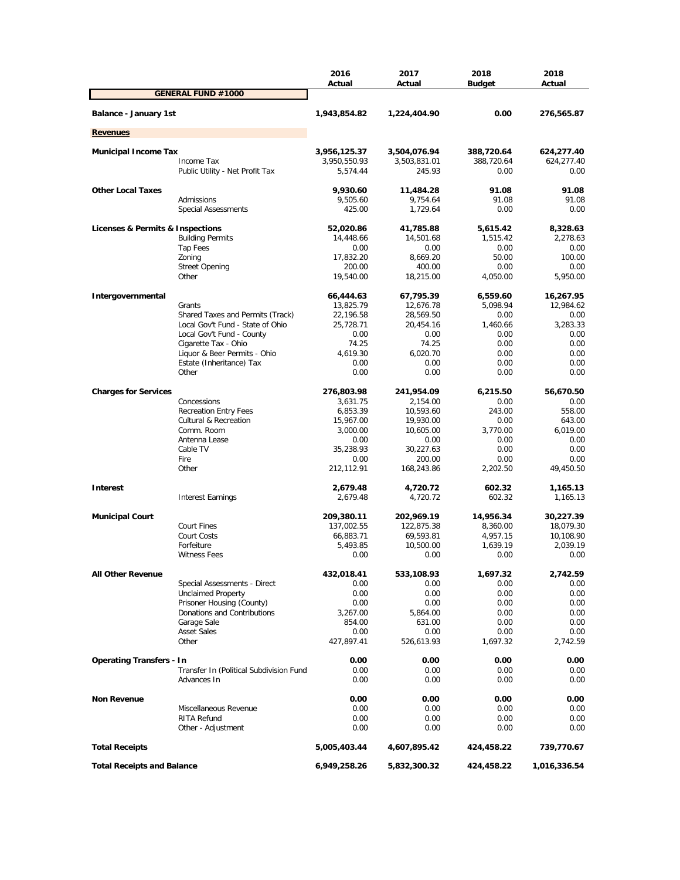|                                   |                                         | 2016<br>Actual       | 2017<br>Actual       | 2018<br><b>Budget</b>    | 2018<br>Actual       |
|-----------------------------------|-----------------------------------------|----------------------|----------------------|--------------------------|----------------------|
|                                   | <b>GENERAL FUND #1000</b>               |                      |                      |                          |                      |
| Balance - January 1st             |                                         | 1,943,854.82         | 1,224,404.90         | 0.00                     | 276,565.87           |
| <b>Revenues</b>                   |                                         |                      |                      |                          |                      |
| <b>Municipal Income Tax</b>       |                                         | 3,956,125.37         | 3,504,076.94         |                          | 624,277.40           |
|                                   | Income Tax                              | 3,950,550.93         | 3,503,831.01         | 388,720.64<br>388,720.64 | 624,277.40           |
|                                   | Public Utility - Net Profit Tax         | 5,574.44             | 245.93               | 0.00                     | 0.00                 |
| <b>Other Local Taxes</b>          |                                         | 9,930.60             | 11,484.28            | 91.08                    | 91.08                |
|                                   | Admissions                              | 9,505.60             | 9,754.64             | 91.08                    | 91.08                |
|                                   | <b>Special Assessments</b>              | 425.00               | 1,729.64             | 0.00                     | 0.00                 |
| Licenses & Permits & Inspections  |                                         | 52,020.86            | 41,785.88            | 5,615.42                 | 8,328.63             |
|                                   | <b>Building Permits</b>                 | 14,448.66            | 14,501.68            | 1,515.42                 | 2,278.63             |
|                                   | Tap Fees                                | 0.00                 | 0.00                 | 0.00                     | 0.00                 |
|                                   | Zoning                                  | 17,832.20            | 8,669.20             | 50.00                    | 100.00               |
|                                   | <b>Street Opening</b>                   | 200.00               | 400.00               | 0.00                     | 0.00                 |
|                                   | Other                                   | 19,540.00            | 18,215.00            | 4,050.00                 | 5,950.00             |
| Intergovernmental                 |                                         | 66,444.63            | 67,795.39            | 6,559.60                 | 16,267.95            |
|                                   | Grants                                  | 13,825.79            | 12,676.78            | 5,098.94                 | 12,984.62            |
|                                   | Shared Taxes and Permits (Track)        | 22,196.58            | 28,569.50            | 0.00                     | 0.00                 |
|                                   | Local Gov't Fund - State of Ohio        | 25,728.71            | 20,454.16            | 1,460.66                 | 3,283.33             |
|                                   | Local Gov't Fund - County               | 0.00                 | 0.00                 | 0.00                     | 0.00                 |
|                                   | Cigarette Tax - Ohio                    | 74.25                | 74.25                | 0.00                     | 0.00                 |
|                                   | Liquor & Beer Permits - Ohio            | 4,619.30             | 6,020.70             | 0.00                     | 0.00                 |
|                                   | Estate (Inheritance) Tax<br>Other       | 0.00<br>0.00         | 0.00<br>0.00         | 0.00<br>0.00             | 0.00<br>0.00         |
|                                   |                                         |                      |                      |                          |                      |
| <b>Charges for Services</b>       |                                         | 276,803.98           | 241,954.09           | 6,215.50                 | 56,670.50            |
|                                   | Concessions                             | 3,631.75             | 2,154.00             | 0.00                     | 0.00                 |
|                                   | <b>Recreation Entry Fees</b>            | 6,853.39             | 10,593.60            | 243.00                   | 558.00               |
|                                   | Cultural & Recreation                   | 15,967.00            | 19,930.00            | 0.00                     | 643.00               |
|                                   | Comm. Room                              | 3,000.00             | 10,605.00            | 3,770.00                 | 6,019.00             |
|                                   | Antenna Lease                           | 0.00                 | 0.00                 | 0.00                     | 0.00                 |
|                                   | Cable TV<br>Fire                        | 35,238.93            | 30,227.63<br>200.00  | 0.00<br>0.00             | 0.00<br>0.00         |
|                                   | Other                                   | 0.00<br>212,112.91   | 168,243.86           | 2,202.50                 | 49,450.50            |
|                                   |                                         |                      |                      |                          |                      |
| <b>Interest</b>                   | <b>Interest Earnings</b>                | 2,679.48<br>2,679.48 | 4,720.72<br>4,720.72 | 602.32<br>602.32         | 1,165.13<br>1,165.13 |
|                                   |                                         |                      |                      |                          |                      |
| <b>Municipal Court</b>            |                                         | 209,380.11           | 202,969.19           | 14,956.34                | 30,227.39            |
|                                   | <b>Court Fines</b>                      | 137,002.55           | 122,875.38           | 8,360.00                 | 18,079.30            |
|                                   | Court Costs                             | 66,883.71            | 69,593.81            | 4,957.15                 | 10,108.90            |
|                                   | Forfeiture                              | 5,493.85             | 10,500.00            | 1,639.19                 | 2,039.19             |
|                                   | <b>Witness Fees</b>                     | 0.00                 | 0.00                 | 0.00                     | 0.00                 |
| <b>All Other Revenue</b>          |                                         | 432,018.41           | 533,108.93           | 1,697.32                 | 2,742.59             |
|                                   | Special Assessments - Direct            | 0.00                 | 0.00                 | 0.00                     | 0.00                 |
|                                   | <b>Unclaimed Property</b>               | 0.00                 | 0.00                 | 0.00                     | 0.00                 |
|                                   | Prisoner Housing (County)               | 0.00                 | 0.00                 | 0.00                     | 0.00                 |
|                                   | Donations and Contributions             | 3,267.00             | 5,864.00             | 0.00                     | 0.00                 |
|                                   | Garage Sale                             | 854.00               | 631.00               | 0.00                     | 0.00                 |
|                                   | <b>Asset Sales</b>                      | 0.00                 | 0.00                 | 0.00                     | 0.00                 |
|                                   | Other                                   | 427,897.41           | 526,613.93           | 1,697.32                 | 2,742.59             |
| <b>Operating Transfers - In</b>   |                                         | 0.00                 | 0.00                 | 0.00                     | 0.00                 |
|                                   | Transfer In (Political Subdivision Fund | 0.00                 | 0.00                 | 0.00                     | 0.00                 |
|                                   | Advances In                             | 0.00                 | 0.00                 | 0.00                     | 0.00                 |
| <b>Non Revenue</b>                |                                         | 0.00                 | 0.00                 | 0.00                     | 0.00                 |
|                                   | Miscellaneous Revenue                   | 0.00                 | 0.00                 | 0.00                     | 0.00                 |
|                                   | RITA Refund                             | 0.00                 | 0.00                 | 0.00                     | 0.00                 |
|                                   | Other - Adjustment                      | 0.00                 | 0.00                 | 0.00                     | 0.00                 |
| <b>Total Receipts</b>             |                                         | 5,005,403.44         | 4,607,895.42         | 424,458.22               | 739,770.67           |
| <b>Total Receipts and Balance</b> |                                         | 6,949,258.26         | 5,832,300.32         | 424,458.22               | 1,016,336.54         |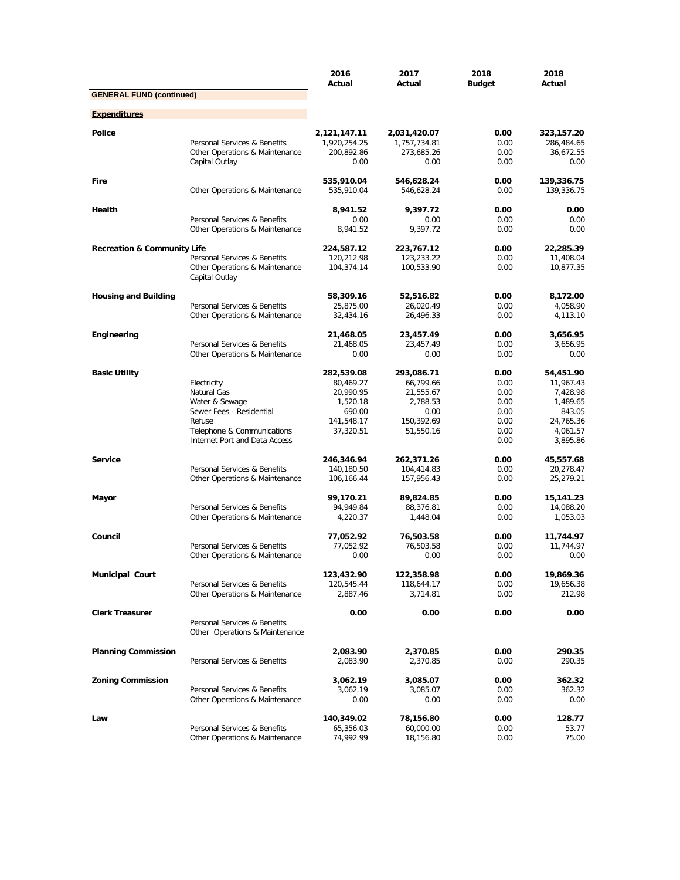|                                        |                                                                | 2016<br>Actual             | 2017<br>Actual             | 2018<br><b>Budget</b> | 2018<br>Actual          |
|----------------------------------------|----------------------------------------------------------------|----------------------------|----------------------------|-----------------------|-------------------------|
| <b>GENERAL FUND (continued)</b>        |                                                                |                            |                            |                       |                         |
| <b>Expenditures</b>                    |                                                                |                            |                            |                       |                         |
|                                        |                                                                |                            |                            |                       |                         |
| <b>Police</b>                          |                                                                | 2,121,147.11               | 2,031,420.07               | 0.00                  | 323,157.20              |
|                                        | Personal Services & Benefits<br>Other Operations & Maintenance | 1,920,254.25<br>200,892.86 | 1,757,734.81<br>273,685.26 | 0.00<br>0.00          | 286,484.65<br>36,672.55 |
|                                        | Capital Outlay                                                 | 0.00                       | 0.00                       | 0.00                  | 0.00                    |
| Fire                                   |                                                                | 535,910.04                 | 546,628.24                 | 0.00                  | 139,336.75              |
|                                        | Other Operations & Maintenance                                 | 535,910.04                 | 546,628.24                 | 0.00                  | 139,336.75              |
| Health                                 |                                                                | 8,941.52                   | 9,397.72                   | 0.00                  | 0.00                    |
|                                        | Personal Services & Benefits<br>Other Operations & Maintenance | 0.00<br>8,941.52           | 0.00<br>9,397.72           | 0.00<br>0.00          | 0.00<br>0.00            |
| <b>Recreation &amp; Community Life</b> |                                                                | 224,587.12                 | 223,767.12                 | 0.00                  | 22,285.39               |
|                                        | Personal Services & Benefits                                   | 120,212.98                 | 123,233.22                 | 0.00                  | 11,408.04               |
|                                        | Other Operations & Maintenance                                 | 104,374.14                 | 100,533.90                 | 0.00                  | 10,877.35               |
|                                        | Capital Outlay                                                 |                            |                            |                       |                         |
| <b>Housing and Building</b>            |                                                                | 58,309.16                  | 52,516.82                  | 0.00                  | 8,172.00                |
|                                        | Personal Services & Benefits<br>Other Operations & Maintenance | 25,875.00<br>32,434.16     | 26,020.49<br>26,496.33     | 0.00<br>0.00          | 4,058.90<br>4,113.10    |
|                                        |                                                                |                            |                            |                       |                         |
| Engineering                            |                                                                | 21,468.05                  | 23,457.49                  | 0.00                  | 3,656.95                |
|                                        | Personal Services & Benefits<br>Other Operations & Maintenance | 21,468.05<br>0.00          | 23,457.49<br>0.00          | 0.00<br>0.00          | 3,656.95<br>0.00        |
|                                        |                                                                |                            |                            |                       |                         |
| <b>Basic Utility</b>                   |                                                                | 282,539.08                 | 293,086.71                 | 0.00                  | 54,451.90               |
|                                        | Electricity                                                    | 80,469.27                  | 66,799.66                  | 0.00                  | 11,967.43               |
|                                        | Natural Gas<br>Water & Sewage                                  | 20,990.95<br>1,520.18      | 21,555.67<br>2,788.53      | 0.00<br>0.00          | 7,428.98<br>1,489.65    |
|                                        | Sewer Fees - Residential                                       | 690.00                     | 0.00                       | 0.00                  | 843.05                  |
|                                        | Refuse                                                         | 141,548.17                 | 150,392.69                 | 0.00                  | 24,765.36               |
|                                        | Telephone & Communications                                     | 37,320.51                  | 51,550.16                  | 0.00                  | 4,061.57                |
|                                        | Internet Port and Data Access                                  |                            |                            | 0.00                  | 3,895.86                |
| <b>Service</b>                         |                                                                | 246,346.94                 | 262,371.26                 | 0.00                  | 45,557.68               |
|                                        | Personal Services & Benefits                                   | 140,180.50                 | 104,414.83                 | 0.00                  | 20,278.47               |
|                                        | Other Operations & Maintenance                                 | 106,166.44                 | 157,956.43                 | 0.00                  | 25,279.21               |
| Mayor                                  |                                                                | 99,170.21                  | 89,824.85                  | 0.00                  | 15,141.23               |
|                                        | Personal Services & Benefits                                   | 94,949.84                  | 88,376.81                  | 0.00                  | 14,088.20               |
|                                        | Other Operations & Maintenance                                 | 4,220.37                   | 1,448.04                   | 0.00                  | 1,053.03                |
| Council                                |                                                                | 77,052.92                  | 76,503.58                  | 0.00                  | 11,744.97               |
|                                        | Personal Services & Benefits                                   | 77,052.92                  | 76,503.58                  | 0.00                  | 11,744.97               |
|                                        | Other Operations & Maintenance                                 | 0.00                       | 0.00                       | 0.00                  | 0.00                    |
| <b>Municipal Court</b>                 |                                                                | 123,432.90                 | 122,358.98                 | 0.00                  | 19,869.36               |
|                                        | Personal Services & Benefits                                   | 120,545.44                 | 118,644.17                 | 0.00                  | 19,656.38               |
|                                        | Other Operations & Maintenance                                 | 2,887.46                   | 3,714.81                   | 0.00                  | 212.98                  |
| <b>Clerk Treasurer</b>                 |                                                                | 0.00                       | 0.00                       | 0.00                  | 0.00                    |
|                                        | Personal Services & Benefits<br>Other Operations & Maintenance |                            |                            |                       |                         |
|                                        |                                                                |                            |                            |                       |                         |
| <b>Planning Commission</b>             |                                                                | 2,083.90                   | 2,370.85                   | 0.00                  | 290.35                  |
|                                        | Personal Services & Benefits                                   | 2,083.90                   | 2,370.85                   | 0.00                  | 290.35                  |
| <b>Zoning Commission</b>               |                                                                | 3,062.19                   | 3,085.07                   | 0.00                  | 362.32                  |
|                                        | Personal Services & Benefits                                   | 3,062.19                   | 3,085.07                   | 0.00                  | 362.32                  |
|                                        | Other Operations & Maintenance                                 | 0.00                       | 0.00                       | 0.00                  | 0.00                    |
| Law                                    |                                                                | 140,349.02                 | 78,156.80                  | 0.00                  | 128.77                  |
|                                        | Personal Services & Benefits                                   | 65,356.03                  | 60,000.00                  | 0.00                  | 53.77                   |
|                                        | Other Operations & Maintenance                                 | 74,992.99                  | 18,156.80                  | 0.00                  | 75.00                   |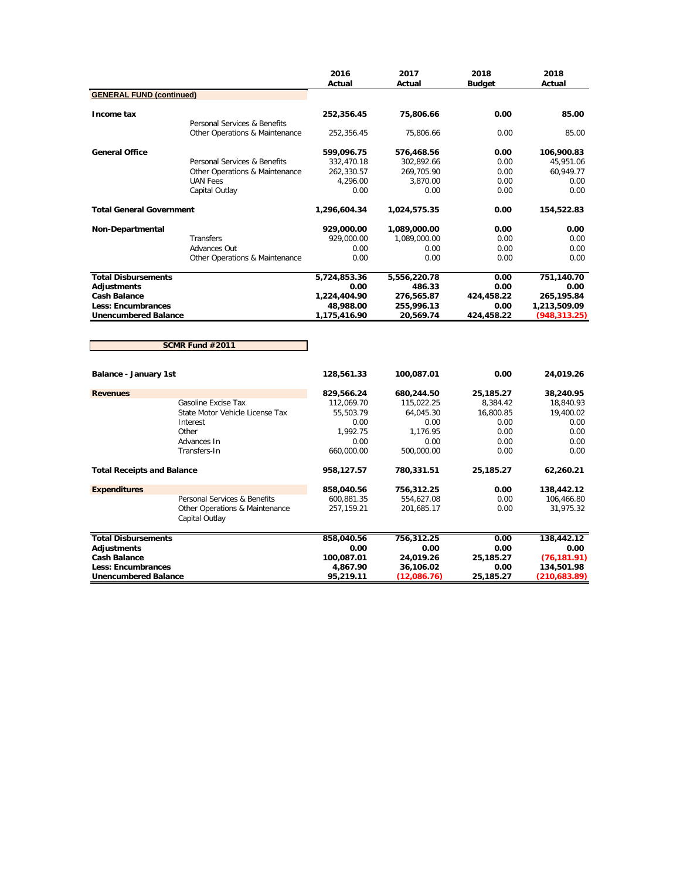|                                   |                                                  | 2016<br>Actual | 2017<br>Actual | 2018<br><b>Budget</b> | 2018<br>Actual |
|-----------------------------------|--------------------------------------------------|----------------|----------------|-----------------------|----------------|
| <b>GENERAL FUND (continued)</b>   |                                                  |                |                |                       |                |
| Income tax                        | Personal Services & Benefits                     | 252,356.45     | 75,806.66      | 0.00                  | 85.00          |
|                                   | Other Operations & Maintenance                   | 252,356.45     | 75,806.66      | 0.00                  | 85.00          |
| <b>General Office</b>             |                                                  | 599,096.75     | 576,468.56     | 0.00                  | 106,900.83     |
|                                   | Personal Services & Benefits                     | 332,470.18     | 302,892.66     | 0.00                  | 45,951.06      |
|                                   | Other Operations & Maintenance                   | 262,330.57     | 269,705.90     | 0.00                  | 60,949.77      |
|                                   | <b>UAN Fees</b>                                  | 4,296.00       | 3,870.00       | 0.00                  | 0.00           |
|                                   | Capital Outlay                                   | 0.00           | 0.00           | 0.00                  | 0.00           |
| <b>Total General Government</b>   |                                                  | 1,296,604.34   | 1,024,575.35   | 0.00                  | 154,522.83     |
| Non-Departmental                  |                                                  | 929,000.00     | 1,089,000.00   | 0.00                  | 0.00           |
|                                   | <b>Transfers</b>                                 | 929,000.00     | 1,089,000.00   | 0.00                  | 0.00           |
|                                   | Advances Out                                     | 0.00           | 0.00           | 0.00                  | 0.00           |
|                                   | Other Operations & Maintenance                   | 0.00           | 0.00           | 0.00                  | 0.00           |
| <b>Total Disbursements</b>        |                                                  | 5,724,853.36   | 5,556,220.78   | 0.00                  | 751,140.70     |
| <b>Adjustments</b>                |                                                  | 0.00           | 486.33         | 0.00                  | 0.00           |
| <b>Cash Balance</b>               |                                                  | 1,224,404.90   | 276,565.87     | 424,458.22            | 265,195.84     |
| <b>Less: Encumbrances</b>         |                                                  | 48,988.00      | 255,996.13     | 0.00                  | 1,213,509.09   |
| <b>Unencumbered Balance</b>       |                                                  | 1,175,416.90   | 20,569.74      | 424,458.22            | (948,313.25)   |
|                                   |                                                  |                |                |                       |                |
|                                   | SCMR Fund #2011                                  |                |                |                       |                |
| Balance - January 1st             |                                                  | 128,561.33     | 100,087.01     | 0.00                  | 24,019.26      |
| <b>Revenues</b>                   |                                                  | 829,566.24     | 680,244.50     | 25,185.27             | 38,240.95      |
|                                   | Gasoline Excise Tax                              | 112,069.70     | 115,022.25     | 8,384.42              | 18,840.93      |
|                                   | State Motor Vehicle License Tax                  | 55,503.79      | 64,045.30      | 16,800.85             | 19,400.02      |
|                                   | Interest                                         | 0.00           | 0.00           | 0.00                  | 0.00           |
|                                   | Other                                            | 1.992.75       | 1.176.95       | 0.00                  | 0.00           |
|                                   | Advances In                                      | 0.00           | 0.00           | 0.00                  | 0.00           |
|                                   | Transfers-In                                     | 660,000.00     | 500,000.00     | 0.00                  | 0.00           |
| <b>Total Receipts and Balance</b> |                                                  | 958,127.57     | 780,331.51     | 25,185.27             | 62,260.21      |
| <b>Expenditures</b>               |                                                  | 858,040.56     | 756,312.25     | 0.00                  | 138,442.12     |
|                                   | Personal Services & Benefits                     | 600,881.35     | 554,627.08     | 0.00                  | 106,466.80     |
|                                   | Other Operations & Maintenance<br>Capital Outlay | 257,159.21     | 201,685.17     | 0.00                  | 31,975.32      |

| <b>Total Disbursements</b>  | 858,040.56 | 756.312.25  | 0.00      | 138,442.12   |
|-----------------------------|------------|-------------|-----------|--------------|
| Adjustments                 | 0.00       | 0.00        | 0.00      | 0.00         |
| <b>Cash Balance</b>         | 100,087.01 | 24.019.26   | 25,185.27 | (76.181.91)  |
| Less: Encumbrances          | 4,867.90   | 36.106.02   | 0.00      | 134,501.98   |
| <b>Unencumbered Balance</b> | 95,219.11  | (12.086.76) | 25.185.27 | (210.683.89) |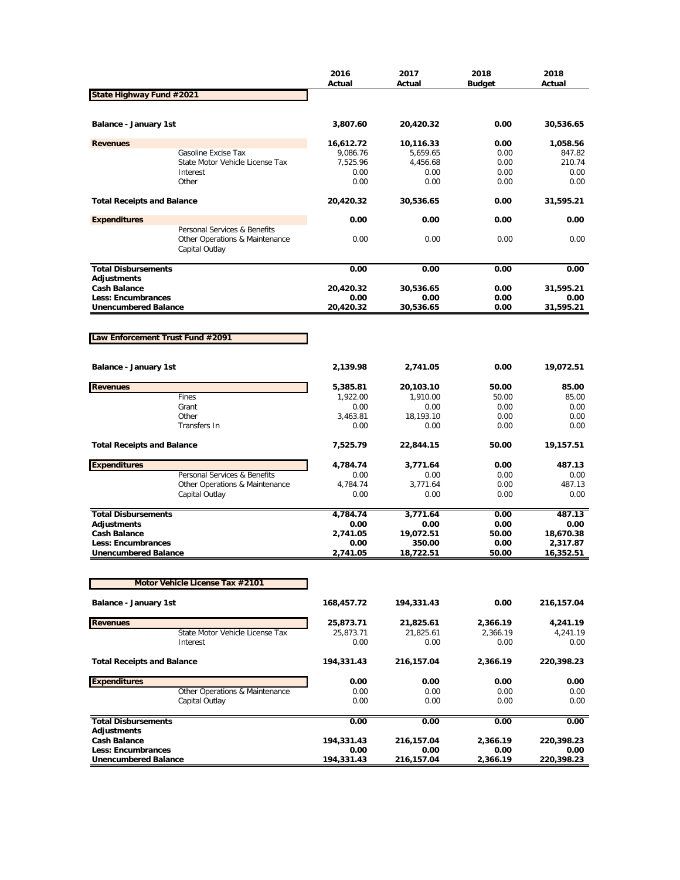|                                                   |                                                                                  | 2016<br>Actual | 2017<br>Actual | 2018<br>Budget | 2018<br>Actual |
|---------------------------------------------------|----------------------------------------------------------------------------------|----------------|----------------|----------------|----------------|
| State Highway Fund #2021                          |                                                                                  |                |                |                |                |
| Balance - January 1st                             |                                                                                  | 3,807.60       | 20,420.32      | 0.00           | 30,536.65      |
| <b>Revenues</b>                                   |                                                                                  | 16,612.72      | 10,116.33      | 0.00           | 1,058.56       |
|                                                   | Gasoline Excise Tax                                                              | 9,086.76       | 5,659.65       | 0.00           | 847.82         |
|                                                   | State Motor Vehicle License Tax                                                  | 7,525.96       | 4,456.68       | 0.00           | 210.74         |
|                                                   | Interest                                                                         | 0.00           | 0.00           | 0.00           | 0.00           |
|                                                   | Other                                                                            | 0.00           | 0.00           | 0.00           | 0.00           |
| <b>Total Receipts and Balance</b>                 |                                                                                  | 20,420.32      | 30,536.65      | 0.00           | 31,595.21      |
| <b>Expenditures</b>                               |                                                                                  | 0.00           | 0.00           | 0.00           | 0.00           |
|                                                   | Personal Services & Benefits<br>Other Operations & Maintenance<br>Capital Outlay | 0.00           | 0.00           | 0.00           | 0.00           |
| <b>Total Disbursements</b>                        |                                                                                  | 0.00           | 0.00           | 0.00           | 0.00           |
| Adjustments                                       |                                                                                  |                |                |                |                |
| <b>Cash Balance</b>                               |                                                                                  | 20,420.32      | 30,536.65      | 0.00           | 31,595.21      |
| Less: Encumbrances<br><b>Unencumbered Balance</b> |                                                                                  | 0.00           | 0.00           | 0.00<br>0.00   | 0.00           |
|                                                   |                                                                                  | 20,420.32      | 30,536.65      |                | 31,595.21      |
|                                                   |                                                                                  |                |                |                |                |
| Law Enforcement Trust Fund #2091                  |                                                                                  |                |                |                |                |
| Balance - January 1st                             |                                                                                  | 2,139.98       | 2,741.05       | 0.00           | 19,072.51      |
| <b>Revenues</b>                                   |                                                                                  | 5,385.81       | 20,103.10      | 50.00          | 85.00          |
|                                                   | Fines                                                                            | 1,922.00       | 1,910.00       | 50.00          | 85.00          |
|                                                   | Grant                                                                            | 0.00           | 0.00           | 0.00           | 0.00           |
|                                                   | Other                                                                            | 3,463.81       | 18,193.10      | 0.00           | 0.00           |
|                                                   | Transfers In                                                                     | 0.00           | 0.00           | 0.00           | 0.00           |
| <b>Total Receipts and Balance</b>                 |                                                                                  | 7,525.79       | 22,844.15      | 50.00          | 19,157.51      |
| <b>Expenditures</b>                               |                                                                                  | 4,784.74       | 3,771.64       | 0.00           | 487.13         |
|                                                   | Personal Services & Benefits                                                     | 0.00           | 0.00           | 0.00           | 0.00           |
|                                                   | Other Operations & Maintenance                                                   | 4,784.74       | 3,771.64       | 0.00           | 487.13         |
|                                                   | Capital Outlay                                                                   | 0.00           | 0.00           | 0.00           | 0.00           |
| <b>Total Disbursements</b>                        |                                                                                  | 4,784.74       | 3,771.64       | 0.00           | 487.13         |
| Adjustments                                       |                                                                                  | 0.00           | 0.00           | 0.00           | 0.00           |
| <b>Cash Balance</b>                               |                                                                                  | 2,741.05       | 19,072.51      | 50.00          | 18,670.38      |
| <b>Less: Encumbrances</b>                         |                                                                                  | 0.00           | 350.00         | 0.00           | 2,317.87       |
| <b>Unencumbered Balance</b>                       |                                                                                  | 2,741.05       | 18,722.51      | 50.00          | 16,352.51      |
|                                                   | Motor Vehicle License Tax #2101                                                  |                |                |                |                |
|                                                   |                                                                                  |                |                |                |                |
| Balance - January 1st                             |                                                                                  | 168,457.72     | 194,331.43     | 0.00           | 216,157.04     |
| <b>Revenues</b>                                   |                                                                                  | 25,873.71      | 21,825.61      | 2,366.19       | 4,241.19       |
|                                                   | State Motor Vehicle License Tax                                                  | 25,873.71      | 21,825.61      | 2,366.19       | 4,241.19       |
|                                                   | Interest                                                                         | 0.00           | 0.00           | 0.00           | 0.00           |
| <b>Total Receipts and Balance</b>                 |                                                                                  | 194,331.43     | 216,157.04     | 2,366.19       | 220,398.23     |
| <b>Expenditures</b>                               |                                                                                  | 0.00           | 0.00           | 0.00           | 0.00           |
|                                                   | Other Operations & Maintenance                                                   | 0.00           | 0.00           | 0.00           | 0.00           |
|                                                   | Capital Outlay                                                                   | 0.00           | 0.00           | 0.00           | 0.00           |
| <b>Total Disbursements</b><br><b>Adjustments</b>  |                                                                                  | 0.00           | 0.00           | 0.00           | 0.00           |
| <b>Cash Balance</b>                               |                                                                                  | 194,331.43     | 216,157.04     | 2,366.19       | 220,398.23     |
| Less: Encumbrances                                |                                                                                  | 0.00           | 0.00           | 0.00           | 0.00           |
| <b>Unencumbered Balance</b>                       |                                                                                  | 194,331.43     | 216,157.04     | 2,366.19       | 220,398.23     |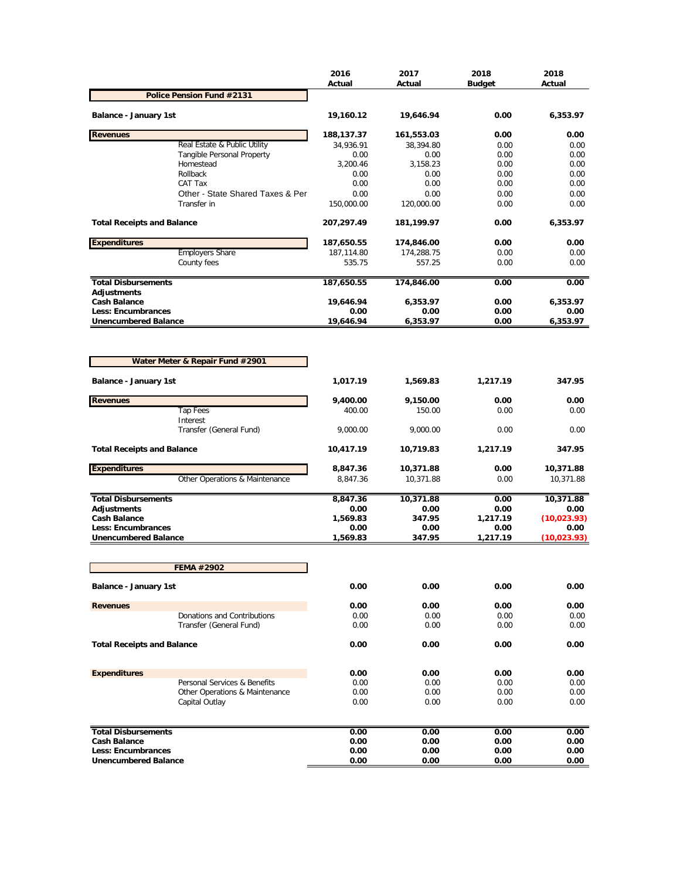|                                                   |                                                  | 2016<br>Actual   | 2017<br>Actual   | 2018<br><b>Budget</b> | 2018<br>Actual |
|---------------------------------------------------|--------------------------------------------------|------------------|------------------|-----------------------|----------------|
|                                                   | Police Pension Fund #2131                        |                  |                  |                       |                |
| <b>Balance - January 1st</b>                      |                                                  | 19,160.12        | 19,646.94        | 0.00                  | 6,353.97       |
| <b>Revenues</b>                                   |                                                  | 188,137.37       | 161,553.03       | 0.00                  | 0.00           |
|                                                   | Real Estate & Public Utility                     | 34,936.91        | 38,394.80        | 0.00                  | 0.00           |
|                                                   | <b>Tangible Personal Property</b>                | 0.00             | 0.00             | 0.00                  | 0.00           |
|                                                   | Homestead<br>Rollback                            | 3,200.46<br>0.00 | 3,158.23<br>0.00 | 0.00<br>0.00          | 0.00<br>0.00   |
|                                                   | CAT Tax                                          | 0.00             | 0.00             | 0.00                  | 0.00           |
|                                                   | Other - State Shared Taxes & Per                 | 0.00             | 0.00             | 0.00                  | 0.00           |
|                                                   | Transfer in                                      | 150,000.00       | 120,000.00       | 0.00                  | 0.00           |
| <b>Total Receipts and Balance</b>                 |                                                  | 207,297.49       | 181,199.97       | 0.00                  | 6,353.97       |
| <b>Expenditures</b>                               |                                                  | 187,650.55       | 174,846.00       | 0.00                  | 0.00           |
|                                                   | <b>Employers Share</b>                           | 187,114.80       | 174,288.75       | 0.00                  | 0.00           |
|                                                   | County fees                                      | 535.75           | 557.25           | 0.00                  | 0.00           |
| <b>Total Disbursements</b><br><b>Adjustments</b>  |                                                  | 187,650.55       | 174,846.00       | 0.00                  | 0.00           |
| <b>Cash Balance</b>                               |                                                  | 19,646.94        | 6,353.97         | 0.00                  | 6,353.97       |
| Less: Encumbrances                                |                                                  | 0.00             | 0.00             | 0.00                  | 0.00           |
| <b>Unencumbered Balance</b>                       |                                                  | 19,646.94        | 6,353.97         | 0.00                  | 6,353.97       |
|                                                   | Water Meter & Repair Fund #2901                  |                  |                  |                       |                |
| <b>Balance - January 1st</b>                      |                                                  | 1,017.19         | 1,569.83         | 1,217.19              | 347.95         |
| <b>Revenues</b>                                   |                                                  | 9,400.00         | 9,150.00         | 0.00                  | 0.00           |
|                                                   | Tap Fees                                         | 400.00           | 150.00           | 0.00                  | 0.00           |
|                                                   | Interest<br>Transfer (General Fund)              | 9,000.00         | 9,000.00         | 0.00                  | 0.00           |
| <b>Total Receipts and Balance</b>                 |                                                  | 10,417.19        | 10,719.83        | 1,217.19              | 347.95         |
| <b>Expenditures</b>                               |                                                  | 8,847.36         | 10,371.88        | 0.00                  | 10,371.88      |
|                                                   | Other Operations & Maintenance                   | 8,847.36         | 10,371.88        | 0.00                  | 10,371.88      |
| <b>Total Disbursements</b>                        |                                                  | 8,847.36         | 10,371.88        | 0.00                  | 10,371.88      |
| <b>Adjustments</b>                                |                                                  | 0.00             | 0.00             | 0.00                  | 0.00           |
| <b>Cash Balance</b>                               |                                                  | 1,569.83         | 347.95           | 1,217.19              | (10, 023.93)   |
| Less: Encumbrances<br><b>Unencumbered Balance</b> |                                                  | 0.00             | 0.00             | 0.00                  | 0.00           |
|                                                   |                                                  | 1,569.83         | 347.95           | 1,217.19              | (10, 023.93)   |
|                                                   | <b>FEMA #2902</b>                                |                  |                  |                       |                |
| Balance - January 1st                             |                                                  | 0.00             | 0.00             | 0.00                  | 0.00           |
| <b>Revenues</b>                                   |                                                  | 0.00             | 0.00             | 0.00                  | 0.00           |
|                                                   | Donations and Contributions                      | 0.00             | 0.00             | 0.00                  | 0.00           |
|                                                   | Transfer (General Fund)                          | 0.00             | 0.00             | 0.00                  | 0.00           |
| <b>Total Receipts and Balance</b>                 |                                                  | 0.00             | 0.00             | 0.00                  | 0.00           |
| <b>Expenditures</b>                               |                                                  | 0.00             | 0.00             | 0.00                  | 0.00           |
|                                                   | Personal Services & Benefits                     | 0.00             | 0.00             | 0.00                  | 0.00           |
|                                                   | Other Operations & Maintenance<br>Capital Outlay | 0.00<br>0.00     | 0.00<br>0.00     | 0.00<br>0.00          | 0.00<br>0.00   |
|                                                   |                                                  |                  |                  |                       |                |
| <b>Total Disbursements</b>                        |                                                  | 0.00             | 0.00             | 0.00                  | 0.00           |
| <b>Cash Balance</b>                               |                                                  | 0.00             | 0.00             | 0.00                  | 0.00           |
| Less: Encumbrances<br><b>Unencumbered Balance</b> |                                                  | 0.00<br>0.00     | 0.00<br>0.00     | 0.00<br>0.00          | 0.00<br>0.00   |
|                                                   |                                                  |                  |                  |                       |                |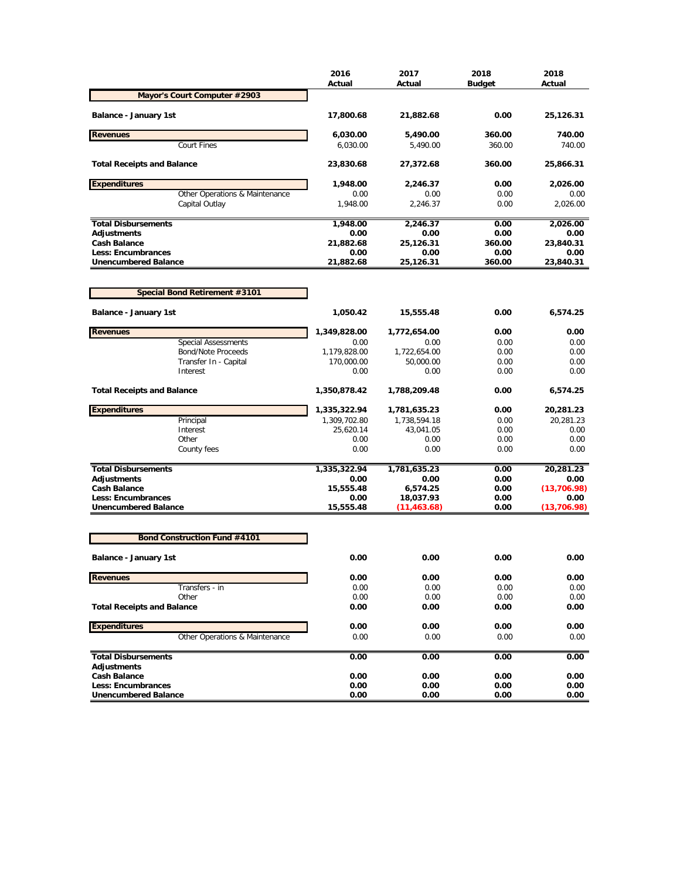|                                                          | 2016<br>Actual    | 2017<br>Actual        | 2018<br><b>Budget</b> | 2018<br>Actual       |
|----------------------------------------------------------|-------------------|-----------------------|-----------------------|----------------------|
| Mayor's Court Computer #2903                             |                   |                       |                       |                      |
| <b>Balance - January 1st</b>                             | 17,800.68         | 21,882.68             | 0.00                  | 25,126.31            |
| <b>Revenues</b>                                          | 6,030.00          | 5,490.00              | 360.00                | 740.00               |
| <b>Court Fines</b>                                       | 6,030.00          | 5,490.00              | 360.00                | 740.00               |
| <b>Total Receipts and Balance</b>                        | 23,830.68         | 27,372.68             | 360.00                | 25,866.31            |
| <b>Expenditures</b>                                      | 1,948.00          | 2,246.37              | 0.00                  | 2,026.00             |
| Other Operations & Maintenance                           | 0.00              | 0.00                  | 0.00                  | 0.00                 |
| Capital Outlay                                           | 1,948.00          | 2,246.37              | 0.00                  | 2.026.00             |
| <b>Total Disbursements</b>                               | 1,948.00          | 2,246.37              | 0.00                  | 2,026.00             |
| <b>Adjustments</b>                                       | 0.00              | 0.00                  | 0.00                  | 0.00                 |
| <b>Cash Balance</b>                                      | 21,882.68         | 25,126.31             | 360.00                | 23,840.31            |
| <b>Less: Encumbrances</b><br><b>Unencumbered Balance</b> | 0.00<br>21,882.68 | 0.00<br>25,126.31     | 0.00<br>360.00        | 0.00<br>23,840.31    |
|                                                          |                   |                       |                       |                      |
| Special Bond Retirement #3101                            |                   |                       |                       |                      |
| <b>Balance - January 1st</b>                             | 1,050.42          | 15,555.48             | 0.00                  | 6,574.25             |
| <b>Revenues</b>                                          | 1,349,828.00      | 1,772,654.00          | 0.00                  | 0.00                 |
| Special Assessments                                      | 0.00              | 0.00                  | 0.00                  | 0.00                 |
| <b>Bond/Note Proceeds</b>                                | 1,179,828.00      | 1,722,654.00          | 0.00                  | 0.00                 |
| Transfer In - Capital                                    | 170,000.00        | 50,000.00             | 0.00                  | 0.00                 |
| Interest                                                 | 0.00              | 0.00                  | 0.00                  | 0.00                 |
| <b>Total Receipts and Balance</b>                        | 1,350,878.42      | 1,788,209.48          | 0.00                  | 6,574.25             |
| <b>Expenditures</b>                                      | 1,335,322.94      | 1,781,635.23          | 0.00                  | 20,281.23            |
| Principal                                                | 1,309,702.80      | 1,738,594.18          | 0.00                  | 20,281.23            |
| Interest                                                 | 25,620.14         | 43,041.05             | 0.00                  | 0.00                 |
| Other<br>County fees                                     | 0.00<br>0.00      | 0.00<br>0.00          | 0.00<br>0.00          | 0.00<br>0.00         |
|                                                          |                   |                       |                       |                      |
| <b>Total Disbursements</b>                               | 1,335,322.94      | 1,781,635.23          | 0.00                  | 20,281.23            |
| Adjustments                                              | 0.00              | 0.00                  | 0.00                  | 0.00                 |
| <b>Cash Balance</b><br>Less: Encumbrances                | 15,555.48<br>0.00 | 6,574.25<br>18,037.93 | 0.00<br>0.00          | (13, 706.98)<br>0.00 |
| <b>Unencumbered Balance</b>                              | 15,555.48         | (11,463.68)           | 0.00                  | (13,706.98)          |
| <b>Bond Construction Fund #4101</b>                      |                   |                       |                       |                      |
|                                                          |                   |                       |                       |                      |
| <b>Balance - January 1st</b>                             | 0.00              | 0.00                  | 0.00                  | 0.00                 |
| <b>Revenues</b>                                          | 0.00              | 0.00                  | 0.00                  | 0.00                 |
| Transfers - in<br>Other                                  | 0.00<br>0.00      | 0.00<br>0.00          | 0.00<br>0.00          | 0.00<br>0.00         |
| <b>Total Receipts and Balance</b>                        | 0.00              | 0.00                  | 0.00                  | 0.00                 |
|                                                          |                   |                       |                       |                      |
| <b>Expenditures</b>                                      | 0.00              | 0.00                  | 0.00                  | 0.00                 |
| Other Operations & Maintenance                           | 0.00              | 0.00                  | 0.00                  | 0.00                 |
| <b>Total Disbursements</b><br><b>Adjustments</b>         | 0.00              | 0.00                  | 0.00                  | 0.00                 |
| <b>Cash Balance</b>                                      | 0.00              | 0.00                  | 0.00                  | 0.00                 |
| <b>Less: Encumbrances</b>                                | 0.00              | 0.00                  | 0.00                  | 0.00                 |
| <b>Unencumbered Balance</b>                              | 0.00              | 0.00                  | 0.00                  | 0.00                 |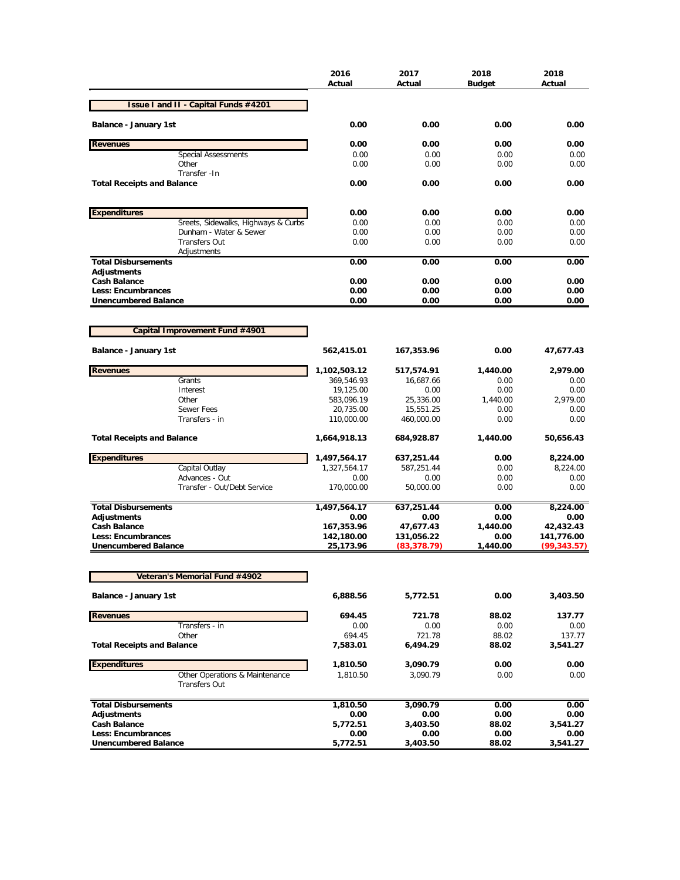|                                                          |                                                        | 2016<br>Actual          | 2017<br>Actual             | 2018<br><b>Budget</b> | 2018<br>Actual             |
|----------------------------------------------------------|--------------------------------------------------------|-------------------------|----------------------------|-----------------------|----------------------------|
|                                                          | Issue I and II - Capital Funds #4201                   |                         |                            |                       |                            |
| Balance - January 1st                                    |                                                        | 0.00                    | 0.00                       | 0.00                  | 0.00                       |
| <b>Revenues</b>                                          |                                                        | 0.00                    | 0.00                       | 0.00                  | 0.00                       |
|                                                          | <b>Special Assessments</b>                             | 0.00                    | 0.00                       | 0.00                  | 0.00                       |
|                                                          | Other                                                  | 0.00                    | 0.00                       | 0.00                  | 0.00                       |
| <b>Total Receipts and Balance</b>                        | Transfer - In                                          | 0.00                    | 0.00                       | 0.00                  | 0.00                       |
| <b>Expenditures</b>                                      |                                                        | 0.00                    | 0.00                       | 0.00                  | 0.00                       |
|                                                          | Sreets, Sidewalks, Highways & Curbs                    | 0.00                    | 0.00                       | 0.00                  | 0.00                       |
|                                                          | Dunham - Water & Sewer                                 | 0.00                    | 0.00                       | 0.00                  | 0.00                       |
|                                                          | <b>Transfers Out</b>                                   | 0.00                    | 0.00                       | 0.00                  | 0.00                       |
| <b>Total Disbursements</b>                               | Adjustments                                            | 0.00                    | 0.00                       | 0.00                  | 0.00                       |
| <b>Adjustments</b>                                       |                                                        |                         |                            |                       |                            |
| <b>Cash Balance</b>                                      |                                                        | 0.00                    | 0.00                       | 0.00                  | 0.00                       |
| <b>Less: Encumbrances</b>                                |                                                        | 0.00                    | 0.00                       | 0.00                  | 0.00                       |
| <b>Unencumbered Balance</b>                              |                                                        | 0.00                    | 0.00                       | 0.00                  | 0.00                       |
|                                                          |                                                        |                         |                            |                       |                            |
|                                                          | Capital Improvement Fund #4901                         |                         |                            |                       |                            |
| <b>Balance - January 1st</b>                             |                                                        | 562,415.01              | 167,353.96                 | 0.00                  | 47,677.43                  |
| <b>Revenues</b>                                          |                                                        | 1,102,503.12            | 517,574.91                 | 1,440.00              | 2,979.00                   |
|                                                          | Grants<br>Interest                                     | 369,546.93              | 16,687.66                  | 0.00                  | 0.00                       |
|                                                          | Other                                                  | 19,125.00<br>583,096.19 | 0.00<br>25,336.00          | 0.00<br>1,440.00      | 0.00<br>2,979.00           |
|                                                          | Sewer Fees                                             | 20,735.00               | 15,551.25                  | 0.00                  | 0.00                       |
|                                                          | Transfers - in                                         | 110,000.00              | 460,000.00                 | 0.00                  | 0.00                       |
| <b>Total Receipts and Balance</b>                        |                                                        | 1,664,918.13            | 684,928.87                 | 1,440.00              | 50,656.43                  |
| <b>Expenditures</b>                                      |                                                        | 1,497,564.17            | 637,251.44                 | 0.00                  | 8,224.00                   |
|                                                          | Capital Outlay                                         | 1,327,564.17            | 587,251.44                 | 0.00                  | 8,224.00                   |
|                                                          | Advances - Out                                         | 0.00                    | 0.00                       | 0.00                  | 0.00                       |
|                                                          | Transfer - Out/Debt Service                            | 170,000.00              | 50,000.00                  | 0.00                  | 0.00                       |
| <b>Total Disbursements</b>                               |                                                        | 1,497,564.17            | 637,251.44                 | 0.00                  | 8,224.00                   |
| <b>Adjustments</b>                                       |                                                        | 0.00                    | 0.00                       | 0.00                  | 0.00                       |
| <b>Cash Balance</b>                                      |                                                        | 167,353.96              | 47,677.43                  | 1,440.00              | 42,432.43                  |
| <b>Less: Encumbrances</b><br><b>Unencumbered Balance</b> |                                                        | 142,180.00<br>25,173.96 | 131,056.22<br>(83, 378.79) | 0.00<br>1,440.00      | 141,776.00<br>(99, 343.57) |
|                                                          |                                                        |                         |                            |                       |                            |
|                                                          | <b>Veteran's Memorial Fund #4902</b>                   |                         |                            |                       |                            |
| Balance - January 1st                                    |                                                        | 6,888.56                | 5,772.51                   | 0.00                  | 3,403.50                   |
| <b>Revenues</b>                                          |                                                        | 694.45                  | 721.78                     | 88.02                 | 137.77                     |
|                                                          | Transfers - in                                         | 0.00                    | 0.00<br>721.78             | 0.00                  | 0.00                       |
| <b>Total Receipts and Balance</b>                        | Other                                                  | 694.45<br>7,583.01      | 6,494.29                   | 88.02<br>88.02        | 137.77<br>3,541.27         |
|                                                          |                                                        |                         |                            |                       |                            |
| <b>Expenditures</b>                                      |                                                        | 1,810.50                | 3,090.79                   | 0.00                  | 0.00                       |
|                                                          | Other Operations & Maintenance<br><b>Transfers Out</b> | 1,810.50                | 3,090.79                   | 0.00                  | 0.00                       |
| <b>Total Disbursements</b>                               |                                                        | 1,810.50                | 3,090.79                   | 0.00                  | 0.00                       |
| <b>Adjustments</b>                                       |                                                        | 0.00                    | 0.00                       | 0.00                  | 0.00                       |
| <b>Cash Balance</b>                                      |                                                        | 5,772.51                | 3,403.50                   | 88.02                 | 3,541.27                   |
| Less: Encumbrances                                       |                                                        | 0.00                    | 0.00                       | 0.00                  | 0.00                       |
| <b>Unencumbered Balance</b>                              |                                                        | 5,772.51                | 3,403.50                   | 88.02                 | 3,541.27                   |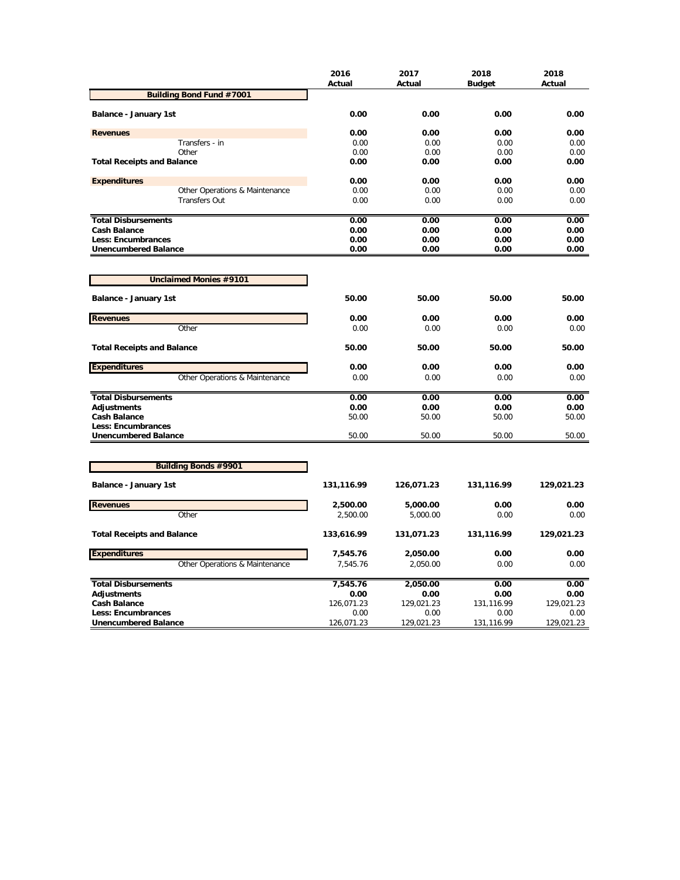|                                   | 2016<br>Actual | 2017<br>Actual | 2018<br><b>Budget</b> | 2018<br>Actual |
|-----------------------------------|----------------|----------------|-----------------------|----------------|
| <b>Building Bond Fund #7001</b>   |                |                |                       |                |
| Balance - January 1st             | 0.00           | 0.00           | 0.00                  | 0.00           |
| <b>Revenues</b>                   | 0.00           | 0.00           | 0.00                  | 0.00           |
| Transfers - in                    | 0.00           | 0.00           | 0.00                  | 0.00           |
| Other                             | 0.00           | 0.00           | 0.00                  | 0.00           |
| <b>Total Receipts and Balance</b> | 0.00           | 0.00           | 0.00                  | 0.00           |
| <b>Expenditures</b>               | 0.00           | 0.00           | 0.00                  | 0.00           |
| Other Operations & Maintenance    | 0.00           | 0.00           | 0.00                  | 0.00           |
| <b>Transfers Out</b>              | 0.00           | 0.00           | 0.00                  | 0.00           |
| <b>Total Disbursements</b>        | 0.00           | 0.00           | 0.00                  | 0.00           |
| <b>Cash Balance</b>               | 0.00           | 0.00           | 0.00                  | 0.00           |
| <b>Less: Encumbrances</b>         | 0.00           | 0.00           | 0.00                  | 0.00           |
| <b>Unencumbered Balance</b>       | 0.00           | 0.00           | 0.00                  | 0.00           |
|                                   |                |                |                       |                |
| <b>Unclaimed Monies #9101</b>     |                |                |                       |                |
| Balance - January 1st             | 50.00          | 50.00          | 50.00                 | 50.00          |
| <b>Revenues</b>                   | 0.00           | 0.00           | 0.00                  | 0.00           |
| Other                             | 0.00           | 0.00           | 0.00                  | 0.00           |
| <b>Total Receipts and Balance</b> | 50.00          | 50.00          | 50.00                 | 50.00          |
| <b>Expenditures</b>               | 0.00           | 0.00           | 0.00                  | 0.00           |
| Other Operations & Maintenance    | 0.00           | 0.00           | 0.00                  | 0.00           |
| <b>Total Disbursements</b>        | 0.00           | 0.00           | 0.00                  | 0.00           |
| <b>Adjustments</b>                | 0.00           | 0.00           | 0.00                  | 0.00           |
| <b>Cash Balance</b>               | 50.00          | 50.00          | 50.00                 | 50.00          |
| Less: Encumbrances                |                |                |                       |                |
| <b>Unencumbered Balance</b>       | 50.00          | 50.00          | 50.00                 | 50.00          |
|                                   |                |                |                       |                |
| <b>Building Bonds #9901</b>       |                |                |                       |                |
| Balance - January 1st             | 131,116.99     | 126,071.23     | 131,116.99            | 129,021.23     |
| <b>Revenues</b>                   | 2,500.00       | 5,000.00       | 0.00                  | 0.00           |
| Other                             | 2,500.00       | 5,000.00       | 0.00                  | 0.00           |
| <b>Total Receipts and Balance</b> | 133,616.99     | 131,071.23     | 131,116.99            | 129,021.23     |
| <b>Expenditures</b>               | 7,545.76       | 2,050.00       | 0.00                  | 0.00           |
| Other Operations & Maintenance    | 7,545.76       | 2,050.00       | 0.00                  | 0.00           |
| <b>Total Disbursements</b>        | 7,545.76       | 2,050.00       | 0.00                  | 0.00           |
| <b>Adjustments</b>                | 0.00           | 0.00           | 0.00                  | 0.00           |
| Cash Balance                      | 126,071.23     | 129,021.23     | 131,116.99            | 129,021.23     |
| <b>Less: Encumbrances</b>         | 0.00           | 0.00           | 0.00                  | 0.00           |
| <b>Unencumbered Balance</b>       | 126,071.23     | 129,021.23     | 131,116.99            | 129,021.23     |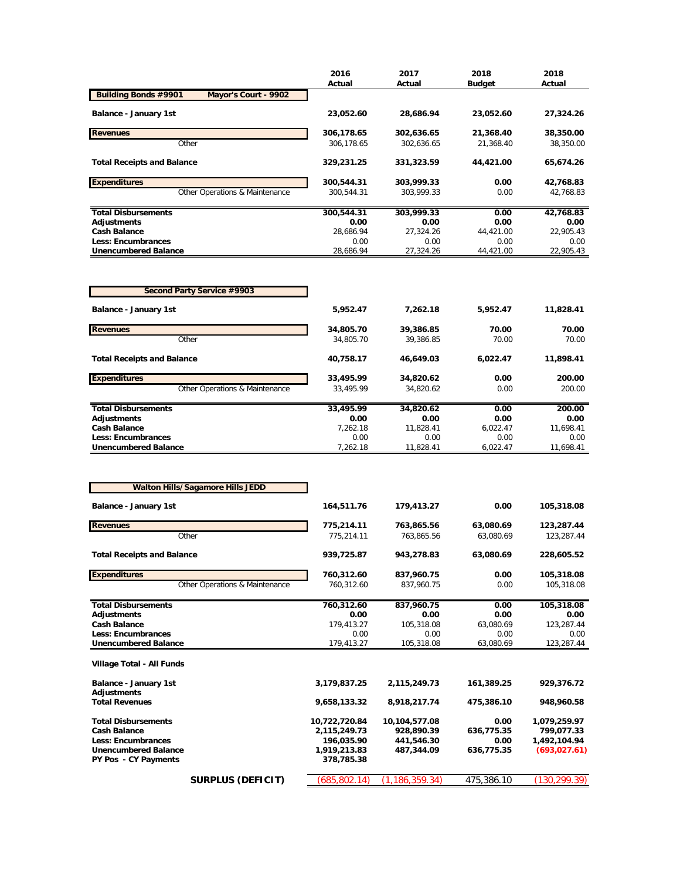|                                                     | 2016       | 2017       | 2018          | 2018      |
|-----------------------------------------------------|------------|------------|---------------|-----------|
|                                                     | Actual     | Actual     | <b>Budget</b> | Actual    |
| <b>Building Bonds #9901</b><br>Mayor's Court - 9902 |            |            |               |           |
| Balance - January 1st                               | 23,052.60  | 28,686.94  | 23,052.60     | 27,324.26 |
| <b>Revenues</b>                                     | 306,178.65 | 302,636.65 | 21,368.40     | 38,350.00 |
| Other                                               | 306.178.65 | 302.636.65 | 21.368.40     | 38,350.00 |
| <b>Total Receipts and Balance</b>                   | 329,231.25 | 331,323.59 | 44,421.00     | 65,674.26 |
| <b>Expenditures</b>                                 | 300,544.31 | 303.999.33 | 0.00          | 42,768.83 |
| Other Operations & Maintenance                      | 300.544.31 | 303.999.33 | 0.00          | 42,768.83 |
| <b>Total Disbursements</b>                          | 300,544.31 | 303,999.33 | 0.00          | 42,768.83 |
| Adjustments                                         | 0.00       | 0.00       | 0.00          | 0.00      |
| <b>Cash Balance</b>                                 | 28.686.94  | 27,324.26  | 44.421.00     | 22.905.43 |
| <b>Less: Encumbrances</b>                           | 0.00       | 0.00       | 0.00          | 0.00      |
| <b>Unencumbered Balance</b>                         | 28,686.94  | 27,324.26  | 44,421.00     | 22,905.43 |

| Second Party Service #9903        |           |           |          |           |
|-----------------------------------|-----------|-----------|----------|-----------|
| <b>Balance - January 1st</b>      | 5,952.47  | 7.262.18  | 5,952.47 | 11,828.41 |
| <b>Revenues</b>                   | 34,805.70 | 39,386.85 | 70.00    | 70.00     |
| Other                             | 34.805.70 | 39.386.85 | 70.00    | 70.00     |
| <b>Total Receipts and Balance</b> | 40,758.17 | 46.649.03 | 6,022.47 | 11,898.41 |
| <b>Expenditures</b>               | 33,495.99 | 34,820.62 | 0.00     | 200.00    |
| Other Operations & Maintenance    | 33.495.99 | 34.820.62 | 0.00     | 200.00    |
| <b>Total Disbursements</b>        | 33,495.99 | 34.820.62 | 0.00     | 200.00    |
| Adjustments                       | 0.00      | 0.00      | 0.00     | 0.00      |
| <b>Cash Balance</b>               | 7.262.18  | 11.828.41 | 6.022.47 | 11.698.41 |
| Less: Encumbrances                | 0.00      | 0.00      | 0.00     | 0.00      |
| <b>Unencumbered Balance</b>       | 7.262.18  | 11.828.41 | 6.022.47 | 11.698.41 |

|                                             | <b>Walton Hills/Sagamore Hills JEDD</b> |               |                  |            |               |  |
|---------------------------------------------|-----------------------------------------|---------------|------------------|------------|---------------|--|
| Balance - January 1st                       |                                         | 164,511.76    | 179,413.27       | 0.00       | 105,318.08    |  |
| <b>Revenues</b>                             |                                         | 775,214.11    | 763,865.56       | 63,080.69  | 123,287.44    |  |
|                                             | Other                                   | 775,214.11    | 763.865.56       | 63.080.69  | 123,287.44    |  |
| <b>Total Receipts and Balance</b>           |                                         | 939,725.87    | 943,278.83       | 63,080.69  | 228,605.52    |  |
| <b>Expenditures</b>                         |                                         | 760,312.60    | 837,960.75       | 0.00       | 105,318.08    |  |
|                                             | Other Operations & Maintenance          | 760,312.60    | 837,960.75       | 0.00       | 105,318.08    |  |
| <b>Total Disbursements</b>                  |                                         | 760,312.60    | 837,960.75       | 0.00       | 105,318.08    |  |
| <b>Adjustments</b>                          |                                         | 0.00          | 0.00             | 0.00       | 0.00          |  |
| <b>Cash Balance</b>                         |                                         | 179,413.27    | 105,318.08       | 63,080.69  | 123,287.44    |  |
| <b>Less: Encumbrances</b>                   |                                         | 0.00          | 0.00             | 0.00       | 0.00          |  |
| <b>Unencumbered Balance</b>                 |                                         | 179,413.27    | 105,318.08       | 63,080.69  | 123,287.44    |  |
| Village Total - All Funds                   |                                         |               |                  |            |               |  |
| Balance - January 1st<br><b>Adjustments</b> |                                         | 3,179,837.25  | 2,115,249.73     | 161,389.25 | 929,376.72    |  |
| <b>Total Revenues</b>                       |                                         | 9,658,133.32  | 8,918,217.74     | 475,386.10 | 948,960.58    |  |
| <b>Total Disbursements</b>                  |                                         | 10,722,720.84 | 10,104,577.08    | 0.00       | 1,079,259.97  |  |
| <b>Cash Balance</b>                         |                                         | 2,115,249.73  | 928,890.39       | 636,775.35 | 799,077.33    |  |
| <b>Less: Encumbrances</b>                   |                                         | 196,035.90    | 441,546.30       | 0.00       | 1,492,104.94  |  |
| <b>Unencumbered Balance</b>                 |                                         | 1,919,213.83  | 487.344.09       | 636,775.35 | (693,027.61)  |  |
| <b>PY Pos - CY Payments</b>                 |                                         | 378,785.38    |                  |            |               |  |
|                                             | SURPLUS (DEFICIT)                       | (685, 802.14) | (1, 186, 359.34) | 475,386.10 | (130, 299.39) |  |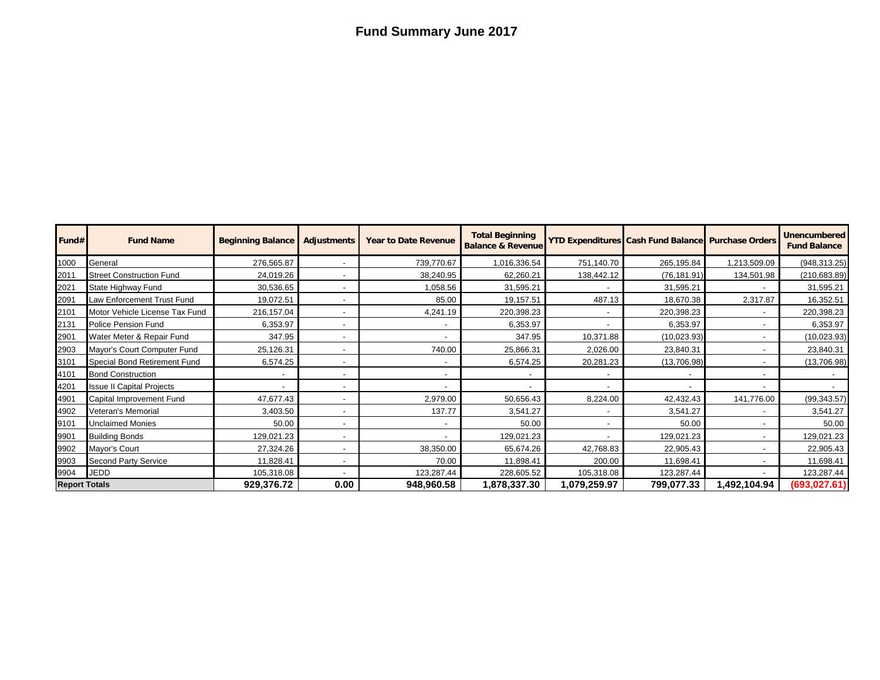## **Fund Summary June 2017**

| Fund#                | <b>Fund Name</b>                 | <b>Beginning Balance</b> | <b>Adjustments</b>       | <b>Year to Date Revenue</b> | <b>Total Beginning</b><br><b>Balance &amp; Revenue</b> |                          | <b>YTD Expenditures Cash Fund Balance Purchase Orders</b> |             | <b>Unencumbered</b><br><b>Fund Balance</b> |
|----------------------|----------------------------------|--------------------------|--------------------------|-----------------------------|--------------------------------------------------------|--------------------------|-----------------------------------------------------------|-------------|--------------------------------------------|
| 1000                 | General                          | 276,565.87               |                          | 739,770.67                  | 1,016,336.54                                           | 751,140.70               | 265,195.84                                                | ,213,509.09 | (948, 313.25)                              |
| 2011                 | <b>Street Construction Fund</b>  | 24,019.26                |                          | 38,240.95                   | 62,260.21                                              | 138,442.12               | (76, 181.91)                                              | 134,501.98  | (210, 683.89)                              |
| 2021                 | State Highway Fund               | 30,536.65                |                          | 1,058.56                    | 31,595.21                                              |                          | 31,595.21                                                 |             | 31,595.21                                  |
| 2091                 | Law Enforcement Trust Fund       | 19,072.51                |                          | 85.00                       | 19,157.51                                              | 487.13                   | 18,670.38                                                 | 2,317.87    | 16,352.51                                  |
| 2101                 | Motor Vehicle License Tax Fund   | 216,157.04               |                          | 4,241.19                    | 220,398.23                                             |                          | 220,398.23                                                |             | 220,398.23                                 |
| 2131                 | Police Pension Fund              | 6,353.97                 |                          |                             | 6,353.97                                               |                          | 6,353.97                                                  |             | 6,353.97                                   |
| 2901                 | Water Meter & Repair Fund        | 347.95                   |                          |                             | 347.95                                                 | 10,371.88                | (10, 023.93)                                              |             | (10,023.93)                                |
| 2903                 | Mayor's Court Computer Fund      | 25,126.31                |                          | 740.00                      | 25,866.31                                              | 2,026.00                 | 23,840.31                                                 |             | 23,840.31                                  |
| 3101                 | Special Bond Retirement Fund     | 6,574.25                 | $\overline{a}$           |                             | 6,574.25                                               | 20,281.23                | (13,706.98)                                               |             | (13,706.98)                                |
| 4101                 | <b>Bond Construction</b>         |                          | $\overline{\phantom{a}}$ |                             |                                                        |                          |                                                           |             |                                            |
| 4201                 | <b>Issue II Capital Projects</b> |                          |                          |                             |                                                        | $\overline{\phantom{a}}$ |                                                           |             |                                            |
| 4901                 | Capital Improvement Fund         | 47,677.43                |                          | 2,979.00                    | 50,656.43                                              | 8,224.00                 | 42,432.43                                                 | 141,776.00  | (99, 343.57)                               |
| 4902                 | Veteran's Memorial               | 3,403.50                 |                          | 137.77                      | 3,541.27                                               | $\overline{\phantom{0}}$ | 3,541.27                                                  |             | 3,541.27                                   |
| 9101                 | <b>Unclaimed Monies</b>          | 50.00                    |                          |                             | 50.00                                                  |                          | 50.00                                                     |             | 50.00                                      |
| 9901                 | <b>Building Bonds</b>            | 129,021.23               |                          |                             | 129,021.23                                             |                          | 129,021.23                                                |             | 129,021.23                                 |
| 9902                 | Mayor's Court                    | 27,324.26                |                          | 38,350.00                   | 65,674.26                                              | 42,768.83                | 22,905.43                                                 |             | 22,905.43                                  |
| 9903                 | Second Party Service             | 11,828.41                | $\overline{\phantom{a}}$ | 70.00                       | 11,898.41                                              | 200.00                   | 11,698.41                                                 |             | 11,698.41                                  |
| 9904                 | <b>JEDD</b>                      | 105,318.08               |                          | 123,287.44                  | 228,605.52                                             | 105,318.08               | 123,287.44                                                |             | 123,287.44                                 |
| <b>Report Totals</b> |                                  | 929,376.72               | 0.00                     | 948,960.58                  | 878,337.30,ا                                           | 1,079,259.97             | 799,077.33                                                | 492,104.94, | (693, 027.61)                              |